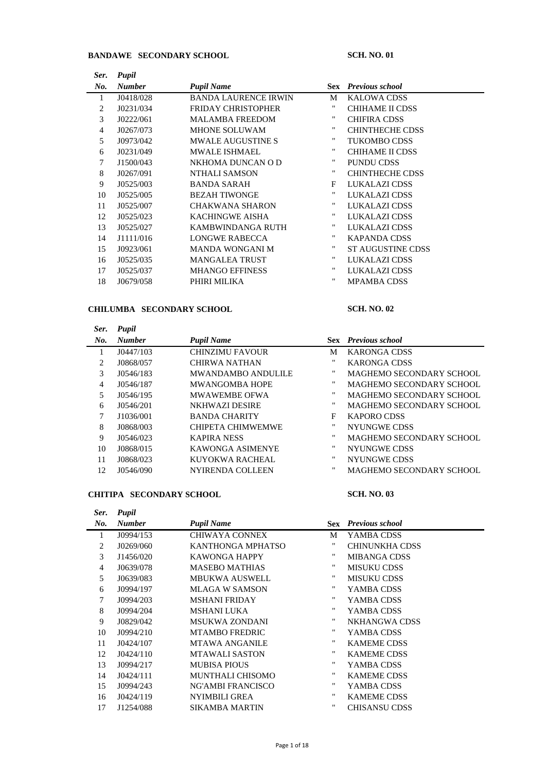## **BANDAWE SECONDARY SCHOOL SCH. NO. 01**

| Ser. | Pupil         |                             |    |                            |
|------|---------------|-----------------------------|----|----------------------------|
| No.  | <b>Number</b> | <b>Pupil Name</b>           |    | <b>Sex</b> Previous school |
|      | J0418/028     | <b>BANDA LAURENCE IRWIN</b> | M  | <b>KALOWA CDSS</b>         |
| 2    | J0231/034     | <b>FRIDAY CHRISTOPHER</b>   | 11 | CHIHAME II CDSS            |
| 3    | J0222/061     | <b>MALAMBA FREEDOM</b>      | "  | <b>CHIFIRA CDSS</b>        |
| 4    | J0267/073     | <b>MHONE SOLUWAM</b>        | "  | <b>CHINTHECHE CDSS</b>     |
| 5    | J0973/042     | <b>MWALE AUGUSTINE S</b>    | "  | <b>TUKOMBO CDSS</b>        |
| 6    | J0231/049     | <b>MWALE ISHMAEL</b>        | "  | CHIHAME II CDSS            |
| 7    | J1500/043     | NKHOMA DUNCAN O D           | "  | <b>PUNDU CDSS</b>          |
| 8    | J0267/091     | NTHALI SAMSON               | "  | <b>CHINTHECHE CDSS</b>     |
| 9    | J0525/003     | <b>BANDA SARAH</b>          | F  | LUKALAZI CDSS              |
| 10   | J0525/005     | <b>BEZAH TIWONGE</b>        | "  | LUKALAZI CDSS              |
| 11   | J0525/007     | <b>CHAKWANA SHARON</b>      | "  | LUKALAZI CDSS              |
| 12   | J0525/023     | KACHINGWE AISHA             | ., | LUKALAZI CDSS              |
| 13   | J0525/027     | KAMBWINDANGA RUTH           | "  | LUKALAZI CDSS              |
| 14   | J1111/016     | <b>LONGWE RABECCA</b>       | "  | <b>KAPANDA CDSS</b>        |
| 15   | J0923/061     | <b>MANDA WONGANI M</b>      | "  | <b>ST AUGUSTINE CDSS</b>   |
| 16   | J0525/035     | <b>MANGALEA TRUST</b>       |    | LUKALAZI CDSS              |
| 17   | J0525/037     | <b>MHANGO EFFINESS</b>      | "  | LUKALAZI CDSS              |
| 18   | J0679/058     | PHIRI MILIKA                | ., | <b>MPAMBA CDSS</b>         |

## **CHILUMBA SECONDARY SCHOOL SCH. NO. 02**

| Ser. | Pupil         |                           |                   |                                 |
|------|---------------|---------------------------|-------------------|---------------------------------|
| No.  | <b>Number</b> | <b>Pupil Name</b>         |                   | <b>Sex</b> Previous school      |
| 1    | J0447/103     | <b>CHINZIMU FAVOUR</b>    | М                 | <b>KARONGA CDSS</b>             |
| 2    | J0868/057     | CHIRWA NATHAN             | .,                | <b>KARONGA CDSS</b>             |
| 3    | J0546/183     | <b>MWANDAMBO ANDULILE</b> | "                 | MAGHEMO SECONDARY SCHOOL        |
| 4    | J0546/187     | MWANGOMBA HOPE            | "                 | MAGHEMO SECONDARY SCHOOL        |
| 5.   | J0546/195     | <b>MWAWEMBE OFWA</b>      | "                 | MAGHEMO SECONDARY SCHOOL        |
| 6    | J0546/201     | NKHWAZI DESIRE            | "                 | MAGHEMO SECONDARY SCHOOL        |
| 7    | J1036/001     | <b>BANDA CHARITY</b>      | F                 | <b>KAPORO CDSS</b>              |
| 8    | J0868/003     | CHIPETA CHIMWEMWE         | "                 | NYUNGWE CDSS                    |
| 9    | J0546/023     | KAPIRA NESS               | "                 | MAGHEMO SECONDARY SCHOOL        |
| 10   | J0868/015     | KAWONGA ASIMENYE          | "                 | <b>NYUNGWE CDSS</b>             |
| 11   | J0868/023     | KUYOKWA RACHEAL           | "                 | NYUNGWE CDSS                    |
| 12   | J0546/090     | NYIRENDA COLLEEN          | $^{\prime\prime}$ | <b>MAGHEMO SECONDARY SCHOOL</b> |

### **CHITIPA SECONDARY SCHOOL SCH. NO. 03**

| Ser. | Pupil         |                         |   |                            |
|------|---------------|-------------------------|---|----------------------------|
| No.  | <b>Number</b> | <b>Pupil Name</b>       |   | <b>Sex</b> Previous school |
| 1    | J0994/153     | CHIWAYA CONNEX          | М | YAMBA CDSS                 |
| 2    | J0269/060     | KANTHONGA MPHATSO       | " | CHINUNKHA CDSS             |
| 3    | J1456/020     | <b>KAWONGA HAPPY</b>    | " | <b>MIBANGA CDSS</b>        |
| 4    | J0639/078     | <b>MASEBO MATHIAS</b>   | " | <b>MISUKU CDSS</b>         |
| 5    | J0639/083     | <b>MBUKWA AUSWELL</b>   | " | <b>MISUKU CDSS</b>         |
| 6    | J0994/197     | MLAGA W SAMSON          | " | YAMBA CDSS                 |
| 7    | J0994/203     | <b>MSHANI FRIDAY</b>    | " | YAMBA CDSS                 |
| 8    | J0994/204     | <b>MSHANI LUKA</b>      |   | YAMBA CDSS                 |
| 9    | J0829/042     | <b>MSUKWA ZONDANI</b>   | " | NKHANGWA CDSS              |
| 10   | J0994/210     | <b>MTAMBO FREDRIC</b>   |   | YAMBA CDSS                 |
| 11   | J0424/107     | <b>MTAWA ANGANILE</b>   |   | <b>KAMEME CDSS</b>         |
| 12   | J0424/110     | <b>MTAWALI SASTON</b>   | " | <b>KAMEME CDSS</b>         |
| 13   | J0994/217     | <b>MUBISA PIOUS</b>     | " | YAMBA CDSS                 |
| 14   | J0424/111     | <b>MUNTHALI CHISOMO</b> | " | <b>KAMEME CDSS</b>         |
| 15   | J0994/243     | NG'AMBI FRANCISCO       | " | YAMBA CDSS                 |
| 16   | J0424/119     | <b>NYIMBILI GREA</b>    | " | <b>KAMEME CDSS</b>         |
| 17   | J1254/088     | <b>SIKAMBA MARTIN</b>   | " | <b>CHISANSU CDSS</b>       |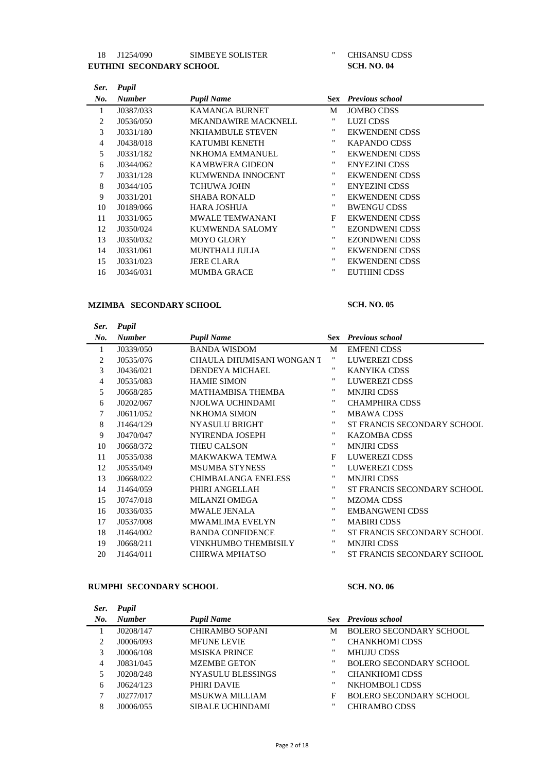## 18 J1254/090 SIMBEYE SOLISTER " CHISANSU CDSS UTHINI SECONDARY SCHOOL SCH. NO. 04 **EUTHINI SECONDARY SCHOOL**

| Ser. | Pupil         |                            |                    |                            |
|------|---------------|----------------------------|--------------------|----------------------------|
| No.  | <b>Number</b> | <b>Pupil Name</b>          |                    | <b>Sex</b> Previous school |
| 1    | J0387/033     | <b>KAMANGA BURNET</b>      | М                  | <b>JOMBO CDSS</b>          |
| 2    | J0536/050     | <b>MKANDAWIRE MACKNELL</b> | "                  | LUZI CDSS                  |
| 3    | J0331/180     | <b>NKHAMBULE STEVEN</b>    | .,                 | EKWENDENI CDSS             |
| 4    | J0438/018     | KATUMBI KENETH             | .,                 | <b>KAPANDO CDSS</b>        |
| 5    | J0331/182     | NKHOMA EMMANUEL            | .,                 | EKWENDENI CDSS             |
| 6    | J0344/062     | <b>KAMBWERA GIDEON</b>     | $\pmb{\mathsf{H}}$ | <b>ENYEZINI CDSS</b>       |
| 7    | J0331/128     | KUMWENDA INNOCENT          | "                  | <b>EKWENDENI CDSS</b>      |
| 8    | J0344/105     | <b>TCHUWA JOHN</b>         | ,,                 | <b>ENYEZINI CDSS</b>       |
| 9    | J0331/201     | <b>SHABA RONALD</b>        | $\pmb{\mathsf{H}}$ | <b>EKWENDENI CDSS</b>      |
| 10   | J0189/066     | <b>HARA JOSHUA</b>         | ,,                 | <b>BWENGU CDSS</b>         |
| 11   | J0331/065     | <b>MWALE TEMWANANI</b>     | F                  | EKWENDENI CDSS             |
| 12   | J0350/024     | KUMWENDA SALOMY            | "                  | <b>EZONDWENI CDSS</b>      |
| 13   | J0350/032     | <b>MOYO GLORY</b>          | .,                 | <b>EZONDWENI CDSS</b>      |
| 14   | J0331/061     | <b>MUNTHALI JULIA</b>      | "                  | EKWENDENI CDSS             |
| 15   | J0331/023     | <b>JERE CLARA</b>          | "                  | <b>EKWENDENI CDSS</b>      |
| 16   | J0346/031     | <b>MUMBA GRACE</b>         | "                  | <b>EUTHINI CDSS</b>        |

# **MZIMBA SECONDARY SCHOOL SCH. NO. 05**

| Ser.           | Pupil         |                            |                    |                             |
|----------------|---------------|----------------------------|--------------------|-----------------------------|
| No.            | <b>Number</b> | <b>Pupil Name</b>          |                    | <b>Sex</b> Previous school  |
| 1              | J0339/050     | <b>BANDA WISDOM</b>        | M                  | <b>EMFENI CDSS</b>          |
| 2              | J0535/076     | CHAULA DHUMISANI WONGAN T  | "                  | LUWEREZI CDSS               |
| 3              | J0436/021     | <b>DENDEYA MICHAEL</b>     | "                  | <b>KANYIKA CDSS</b>         |
| $\overline{4}$ | J0535/083     | <b>HAMIE SIMON</b>         | "                  | <b>LUWEREZI CDSS</b>        |
| 5              | J0668/285     | MATHAMBISA THEMBA          | "                  | <b>MNJIRI CDSS</b>          |
| 6              | J0202/067     | NJOLWA UCHINDAMI           | "                  | <b>CHAMPHIRA CDSS</b>       |
| 7              | J0611/052     | <b>NKHOMA SIMON</b>        |                    | <b>MBAWA CDSS</b>           |
| 8              | J1464/129     | <b>NYASULU BRIGHT</b>      | "                  | ST FRANCIS SECONDARY SCHOOL |
| 9              | J0470/047     | <b>NYIRENDA JOSEPH</b>     | 11                 | <b>KAZOMBA CDSS</b>         |
| 10             | J0668/372     | THEU CALSON                | "                  | <b>MNJIRI CDSS</b>          |
| 11             | J0535/038     | <b>MAKWAKWA TEMWA</b>      | F                  | <b>LUWEREZI CDSS</b>        |
| 12             | J0535/049     | <b>MSUMBA STYNESS</b>      | "                  | LUWEREZI CDSS               |
| 13             | J0668/022     | <b>CHIMBALANGA ENELESS</b> | 11                 | <b>MNJIRI CDSS</b>          |
| 14             | J1464/059     | PHIRI ANGELLAH             | .,                 | ST FRANCIS SECONDARY SCHOOL |
| 15             | J0747/018     | <b>MILANZI OMEGA</b>       | "                  | <b>MZOMA CDSS</b>           |
| 16             | J0336/035     | <b>MWALE JENALA</b>        | "                  | <b>EMBANGWENI CDSS</b>      |
| 17             | J0537/008     | <b>MWAMLIMA EVELYN</b>     | "                  | <b>MABIRI CDSS</b>          |
| 18             | J1464/002     | <b>BANDA CONFIDENCE</b>    | "                  | ST FRANCIS SECONDARY SCHOOL |
| 19             | J0668/211     | VINKHUMBO THEMBISILY       | "                  | <b>MNJIRI CDSS</b>          |
| 20             | J1464/011     | <b>CHIRWA MPHATSO</b>      | $\pmb{\mathsf{H}}$ | ST FRANCIS SECONDARY SCHOOL |

## **RUMPHI SECONDARY SCHOOL SCH. NO. 06**

| Ser. | Pupil         |                          |                   |                                |
|------|---------------|--------------------------|-------------------|--------------------------------|
| No.  | <b>Number</b> | <b>Pupil Name</b>        |                   | <b>Sex</b> Previous school     |
|      | J0208/147     | <b>CHIRAMBO SOPANI</b>   | М                 | <b>BOLERO SECONDARY SCHOOL</b> |
| 2    | J0006/093     | <b>MFUNE LEVIE</b>       | "                 | <b>CHANKHOMI CDSS</b>          |
| 3    | J0006/108     | <b>MSISKA PRINCE</b>     | "                 | <b>MHUJU CDSS</b>              |
| 4    | J0831/045     | <b>MZEMBE GETON</b>      | "                 | <b>BOLERO SECONDARY SCHOOL</b> |
| 5    | J0208/248     | <b>NYASULU BLESSINGS</b> | "                 | <b>CHANKHOMI CDSS</b>          |
| 6    | J0624/123     | PHIRI DAVIE              | $^{\prime\prime}$ | NKHOMBOLI CDSS                 |
| 7    | J0277/017     | <b>MSUKWA MILLIAM</b>    | F                 | <b>BOLERO SECONDARY SCHOOL</b> |
| 8    | J0006/055     | <b>SIBALE UCHINDAMI</b>  | "                 | CHIRAMBO CDSS                  |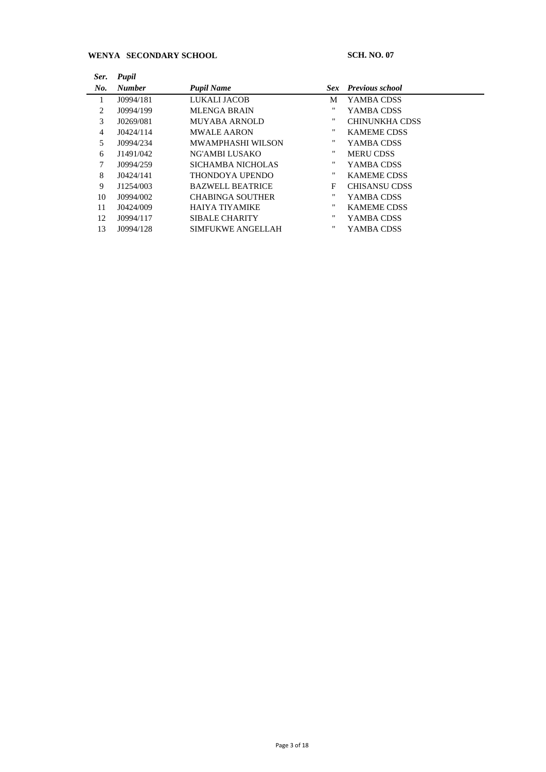## **WENYA SECONDARY SCHOOL SCH. NO. 07**

| Ser.           | Pupil         |                          |    |                       |
|----------------|---------------|--------------------------|----|-----------------------|
| No.            | <b>Number</b> | <b>Pupil Name</b>        |    | Sex Previous school   |
| 1              | J0994/181     | LUKALI JACOB             | M  | YAMBA CDSS            |
| 2              | J0994/199     | <b>MLENGA BRAIN</b>      | "  | YAMBA CDSS            |
| 3              | J0269/081     | <b>MUYABA ARNOLD</b>     | "  | <b>CHINUNKHA CDSS</b> |
| $\overline{4}$ | J0424/114     | <b>MWALE AARON</b>       | "  | <b>KAMEME CDSS</b>    |
| 5              | J0994/234     | MWAMPHASHI WILSON        | "  | YAMBA CDSS            |
| 6              | J1491/042     | NG'AMBI LUSAKO           | ., | <b>MERU CDSS</b>      |
| 7              | J0994/259     | SICHAMBA NICHOLAS        | "  | YAMBA CDSS            |
| 8              | J0424/141     | THONDOYA UPENDO          | ., | <b>KAMEME CDSS</b>    |
| 9              | J1254/003     | <b>BAZWELL BEATRICE</b>  | F  | CHISANSU CDSS         |
| 10             | J0994/002     | <b>CHABINGA SOUTHER</b>  | ., | YAMBA CDSS            |
| 11             | J0424/009     | HAIYA TIYAMIKE           | "  | <b>KAMEME CDSS</b>    |
| 12             | J0994/117     | <b>SIBALE CHARITY</b>    | "  | YAMBA CDSS            |
| 13             | J0994/128     | <b>SIMFUKWE ANGELLAH</b> | "  | YAMBA CDSS            |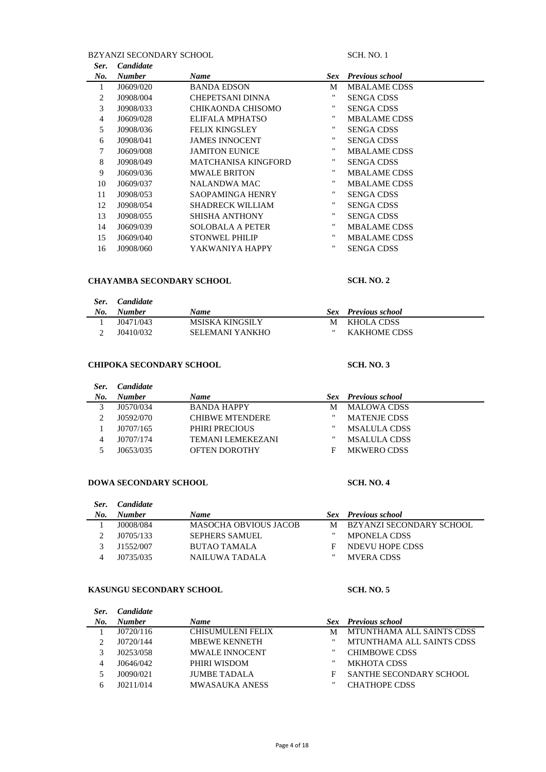## BZYANZI SECONDARY SCHOOL SCH. NO. 1

| <b>Candidate</b> |                            |                   |                     |                        |
|------------------|----------------------------|-------------------|---------------------|------------------------|
| <b>Number</b>    | <b>Name</b>                | Sex.              |                     |                        |
| J0609/020        | <b>BANDA EDSON</b>         | M                 | <b>MBALAME CDSS</b> |                        |
| J0908/004        | CHEPETSANI DINNA           | ,,                | <b>SENGA CDSS</b>   |                        |
| J0908/033        | CHIKAONDA CHISOMO          |                   | <b>SENGA CDSS</b>   |                        |
| J0609/028        | ELIFALA MPHATSO            | $^{\prime\prime}$ | <b>MBALAME CDSS</b> |                        |
| J0908/036        | <b>FELIX KINGSLEY</b>      | ,,                | <b>SENGA CDSS</b>   |                        |
| J0908/041        | <b>JAMES INNOCENT</b>      | .,                | <b>SENGA CDSS</b>   |                        |
| J0609/008        | <b>JAMITON EUNICE</b>      | $^{\prime\prime}$ | <b>MBALAME CDSS</b> |                        |
| J0908/049        | <b>MATCHANISA KINGFORD</b> | $^{\prime\prime}$ | <b>SENGA CDSS</b>   |                        |
| J0609/036        | <b>MWALE BRITON</b>        |                   | <b>MBALAME CDSS</b> |                        |
| J0609/037        | NALANDWA MAC               | $^{\prime\prime}$ | <b>MBALAME CDSS</b> |                        |
| J0908/053        | SAOPAMINGA HENRY           |                   | <b>SENGA CDSS</b>   |                        |
| J0908/054        | <b>SHADRECK WILLIAM</b>    |                   | <b>SENGA CDSS</b>   |                        |
| J0908/055        | SHISHA ANTHONY             |                   | <b>SENGA CDSS</b>   |                        |
| J0609/039        | <b>SOLOBALA A PETER</b>    |                   | <b>MBALAME CDSS</b> |                        |
| J0609/040        | <b>STONWEL PHILIP</b>      | $^{\prime\prime}$ | <b>MBALAME CDSS</b> |                        |
| J0908/060        | YAKWANIYA HAPPY            | "                 | <b>SENGA CDSS</b>   |                        |
|                  |                            |                   |                     | <b>Previous school</b> |

### **CHAYAMBA SECONDARY SCHOOL SCH. NO. 2**

### *Ser. Candidate No. Number Name Sex Previous school* 1 J0471/043 MSISKA KINGSILY M KHOLA CDSS J0410/032 SELEMANI YANKHO " KAKHOME CDSS

### **CHIPOKA SECONDARY SCHOOL SCH. NO. 3**

### *Ser. Candidate No. Number Name Sex Previous school* M MALOWA CDSS<br>"MATENJE CDSS J0592/070 CHIBWE MTENDERE " MATENJE CDSS J0707/165 PHIRI PRECIOUS " MSALULA CDSS 4 J0707/174 TEMANI LEMEKEZANI J0653/035 OFTEN DOROTHY F MKWERO CDSS

### **DOWA SECONDARY SCHOOL SCH. NO. 4**

| Ser. | <i>Candidate</i> |                              |   |                            |
|------|------------------|------------------------------|---|----------------------------|
| No.  | <b>Number</b>    | <b>Name</b>                  |   | <b>Sex</b> Previous school |
|      | J0008/084        | <b>MASOCHA OBVIOUS JACOB</b> | M | BZYANZI SECONDARY SCHOOL   |
|      | J0705/133        | <b>SEPHERS SAMUEL</b>        | " | <b>MPONELA CDSS</b>        |
|      | 11552/007        | BUTAO TAMALA                 | F | NDEVU HOPE CDSS            |
|      | 10735/035        | NAILUWA TADALA               | " | <b>MVERA CDSS</b>          |

### **KASUNGU SECONDARY SCHOOL SCH. NO. 5**

| Ser. | <i>Candidate</i> |                          |   |                            |
|------|------------------|--------------------------|---|----------------------------|
| No.  | <b>Number</b>    | <b>Name</b>              |   | <b>Sex</b> Previous school |
|      | J0720/116        | <b>CHISUMULENI FELIX</b> | М | MTUNTHAMA ALL SAINTS CDSS  |
|      | J0720/144        | <b>MBEWE KENNETH</b>     | " | MTUNTHAMA ALL SAINTS CDSS  |
|      | J0253/058        | <b>MWALE INNOCENT</b>    | " | <b>CHIMBOWE CDSS</b>       |
|      | J0646/042        | PHIRI WISDOM             | " | <b>MKHOTA CDSS</b>         |
|      | J0090/021        | <b>JUMBE TADALA</b>      | F | SANTHE SECONDARY SCHOOL    |
|      | 10211/014        | <b>MWASAUKA ANESS</b>    | " | <b>CHATHOPE CDSS</b>       |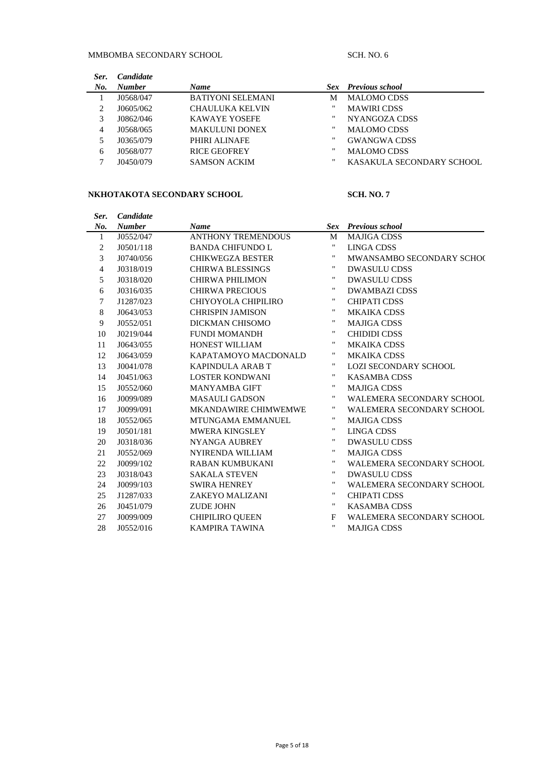# MMBOMBA SECONDARY SCHOOL SCH. NO. 6

| Ser. | <b>Candidate</b> |                          |                   |                            |
|------|------------------|--------------------------|-------------------|----------------------------|
| No.  | <b>Number</b>    | Name                     |                   | <b>Sex</b> Previous school |
|      | J0568/047        | <b>BATIYONI SELEMANI</b> | М                 | <b>MALOMO CDSS</b>         |
| 2    | J0605/062        | CHAULUKA KELVIN          | "                 | <b>MAWIRI CDSS</b>         |
| 3    | J0862/046        | <b>KAWAYE YOSEFE</b>     | "                 | NYANGOZA CDSS              |
| 4    | J0568/065        | <b>MAKULUNI DONEX</b>    | "                 | <b>MALOMO CDSS</b>         |
|      | J0365/079        | PHIRI ALINAFE            | $^{\prime\prime}$ | <b>GWANGWA CDSS</b>        |
| 6    | J0568/077        | <b>RICE GEOFREY</b>      | "                 | <b>MALOMO CDSS</b>         |
| 7    | J0450/079        | <b>SAMSON ACKIM</b>      | "                 | KASAKULA SECONDARY SCHOOL  |

## **NKHOTAKOTA SECONDARY SCHOOL SCH. NO. 7**

| Ser.           | Candidate     |                             |                    |                                  |
|----------------|---------------|-----------------------------|--------------------|----------------------------------|
| No.            | <b>Number</b> | <b>Name</b>                 | Sex                | <b>Previous school</b>           |
| $\mathbf{1}$   | J0552/047     | <b>ANTHONY TREMENDOUS</b>   | M                  | <b>MAJIGA CDSS</b>               |
| $\overline{c}$ | J0501/118     | <b>BANDA CHIFUNDO L</b>     | $\pmb{\mathsf{H}}$ | LINGA CDSS                       |
| 3              | J0740/056     | <b>CHIKWEGZA BESTER</b>     | 11                 | MWANSAMBO SECONDARY SCHOO        |
| 4              | J0318/019     | <b>CHIRWA BLESSINGS</b>     | $\pmb{\mathsf{H}}$ | <b>DWASULU CDSS</b>              |
| 5              | J0318/020     | <b>CHIRWA PHILIMON</b>      | 11                 | <b>DWASULU CDSS</b>              |
| 6              | J0316/035     | <b>CHIRWA PRECIOUS</b>      | $\pmb{\mathsf{H}}$ | <b>DWAMBAZI CDSS</b>             |
| 7              | J1287/023     | CHIYOYOLA CHIPILIRO         | 11                 | <b>CHIPATI CDSS</b>              |
| 8              | J0643/053     | <b>CHRISPIN JAMISON</b>     | $\pmb{\mathsf{H}}$ | <b>MKAIKA CDSS</b>               |
| 9              | J0552/051     | DICKMAN CHISOMO             | $\pmb{\mathsf{H}}$ | <b>MAJIGA CDSS</b>               |
| 10             | J0219/044     | FUNDI MOMANDH               | $\pmb{\mathsf{H}}$ | <b>CHIDIDI CDSS</b>              |
| 11             | J0643/055     | <b>HONEST WILLIAM</b>       | $\pmb{\mathsf{H}}$ | <b>MKAIKA CDSS</b>               |
| 12             | J0643/059     | KAPATAMOYO MACDONALD        | 11                 | <b>MKAIKA CDSS</b>               |
| 13             | J0041/078     | <b>KAPINDULA ARAB T</b>     | $\pmb{\mathsf{H}}$ | <b>LOZI SECONDARY SCHOOL</b>     |
| 14             | J0451/063     | <b>LOSTER KONDWANI</b>      | $\pmb{\mathsf{H}}$ | <b>KASAMBA CDSS</b>              |
| 15             | J0552/060     | <b>MANYAMBA GIFT</b>        | 11                 | <b>MAJIGA CDSS</b>               |
| 16             | J0099/089     | <b>MASAULI GADSON</b>       | 11                 | <b>WALEMERA SECONDARY SCHOOL</b> |
| 17             | J0099/091     | <b>MKANDAWIRE CHIMWEMWE</b> | 11                 | <b>WALEMERA SECONDARY SCHOOL</b> |
| 18             | J0552/065     | MTUNGAMA EMMANUEL           | $\pmb{\mathsf{H}}$ | <b>MAJIGA CDSS</b>               |
| 19             | J0501/181     | <b>MWERA KINGSLEY</b>       | $\pmb{\mathsf{H}}$ | <b>LINGA CDSS</b>                |
| 20             | J0318/036     | NYANGA AUBREY               | 11                 | <b>DWASULU CDSS</b>              |
| 21             | J0552/069     | <b>NYIRENDA WILLIAM</b>     | $\pmb{\mathsf{H}}$ | <b>MAJIGA CDSS</b>               |
| 22             | J0099/102     | <b>RABAN KUMBUKANI</b>      | $\pmb{\mathsf{H}}$ | <b>WALEMERA SECONDARY SCHOOL</b> |
| 23             | J0318/043     | <b>SAKALA STEVEN</b>        | 11                 | <b>DWASULU CDSS</b>              |
| 24             | J0099/103     | <b>SWIRA HENREY</b>         | 11                 | <b>WALEMERA SECONDARY SCHOOL</b> |
| 25             | J1287/033     | ZAKEYO MALIZANI             | 11                 | <b>CHIPATI CDSS</b>              |
| 26             | J0451/079     | <b>ZUDE JOHN</b>            | 11                 | <b>KASAMBA CDSS</b>              |
| 27             | J0099/009     | <b>CHIPILIRO QUEEN</b>      | F                  | <b>WALEMERA SECONDARY SCHOOL</b> |
| 28             | J0552/016     | KAMPIRA TAWINA              | $\pmb{\mathsf{H}}$ | <b>MAJIGA CDSS</b>               |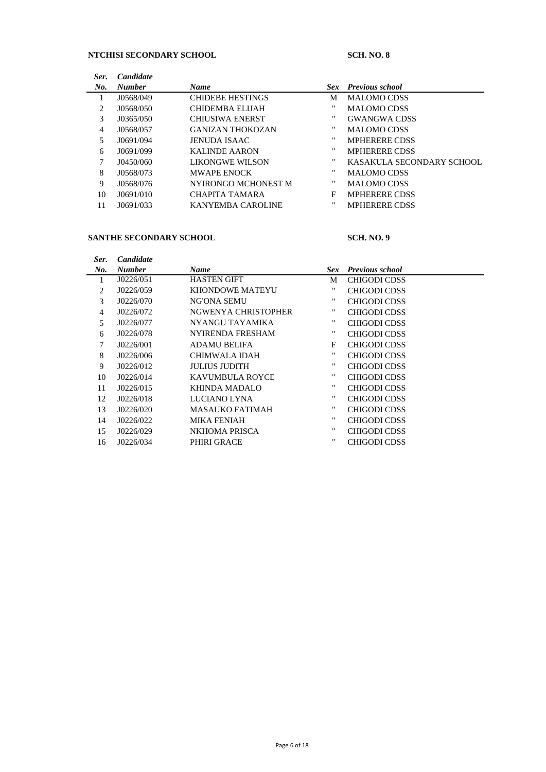# **NTCHISI SECONDARY SCHOOL SCH. NO. 8**

| Ser. | <b>Candidate</b> |                         |              |                           |
|------|------------------|-------------------------|--------------|---------------------------|
| No.  | <b>Number</b>    | <b>Name</b>             | Sex-         | <b>Previous school</b>    |
| 1    | J0568/049        | <b>CHIDEBE HESTINGS</b> | М            | <b>MALOMO CDSS</b>        |
| 2    | J0568/050        | CHIDEMBA ELIJAH         | $^{\dagger}$ | <b>MALOMO CDSS</b>        |
| 3    | J0365/050        | <b>CHIUSIWA ENERST</b>  | .,           | <b>GWANGWA CDSS</b>       |
| 4    | J0568/057        | <b>GANIZAN THOKOZAN</b> | .,           | <b>MALOMO CDSS</b>        |
| 5.   | J0691/094        | <b>JENUDA ISAAC</b>     | .,           | <b>MPHERERE CDSS</b>      |
| 6    | J0691/099        | <b>KALINDE AARON</b>    | .,           | <b>MPHERERE CDSS</b>      |
| 7    | J0450/060        | LIKONGWE WILSON         | .,           | KASAKULA SECONDARY SCHOOL |
| 8    | J0568/073        | <b>MWAPE ENOCK</b>      | "            | <b>MALOMO CDSS</b>        |
| 9    | J0568/076        | NYIRONGO MCHONEST M     | .,           | <b>MALOMO CDSS</b>        |
| 10   | J0691/010        | CHAPITA TAMARA          | F            | <b>MPHERERE CDSS</b>      |
| 11   | J0691/033        | KANYEMBA CAROLINE       | "            | <b>MPHERERE CDSS</b>      |

## **SANTHE SECONDARY SCHOOL SCH. NO. 9**

| Ser. | <b>Candidate</b> |                        |      |                        |
|------|------------------|------------------------|------|------------------------|
| No.  | <b>Number</b>    | <b>Name</b>            | Sex. | <b>Previous school</b> |
|      | J0226/051        | <b>HASTEN GIFT</b>     | M    | <b>CHIGODI CDSS</b>    |
| 2    | J0226/059        | <b>KHONDOWE MATEYU</b> |      | <b>CHIGODI CDSS</b>    |
| 3    | J0226/070        | NG'ONA SEMU            | "    | <b>CHIGODI CDSS</b>    |
| 4    | J0226/072        | NGWENYA CHRISTOPHER    |      | CHIGODI CDSS           |
| 5    | J0226/077        | NYANGU TAYAMIKA        | .,   | <b>CHIGODI CDSS</b>    |
| 6    | J0226/078        | NYIRENDA FRESHAM       | .,   | CHIGODI CDSS           |
| 7    | J0226/001        | ADAMU BELIFA           | F    | CHIGODI CDSS           |
| 8    | J0226/006        | CHIMWALA IDAH          | "    | CHIGODI CDSS           |
| 9    | J0226/012        | <b>JULIUS JUDITH</b>   |      | <b>CHIGODI CDSS</b>    |
| 10   | J0226/014        | KAVUMBULA ROYCE        | .,   | <b>CHIGODI CDSS</b>    |
| 11   | J0226/015        | KHINDA MADALO          | .,   | <b>CHIGODI CDSS</b>    |
| 12   | J0226/018        | LUCIANO LYNA           | .,   | CHIGODI CDSS           |
| 13   | J0226/020        | MASAUKO FATIMAH        | .,   | CHIGODI CDSS           |
| 14   | J0226/022        | <b>MIKA FENIAH</b>     | .,   | <b>CHIGODI CDSS</b>    |
| 15   | J0226/029        | NKHOMA PRISCA          | .,   | <b>CHIGODI CDSS</b>    |
| 16   | J0226/034        | <b>PHIRI GRACE</b>     | "    | <b>CHIGODI CDSS</b>    |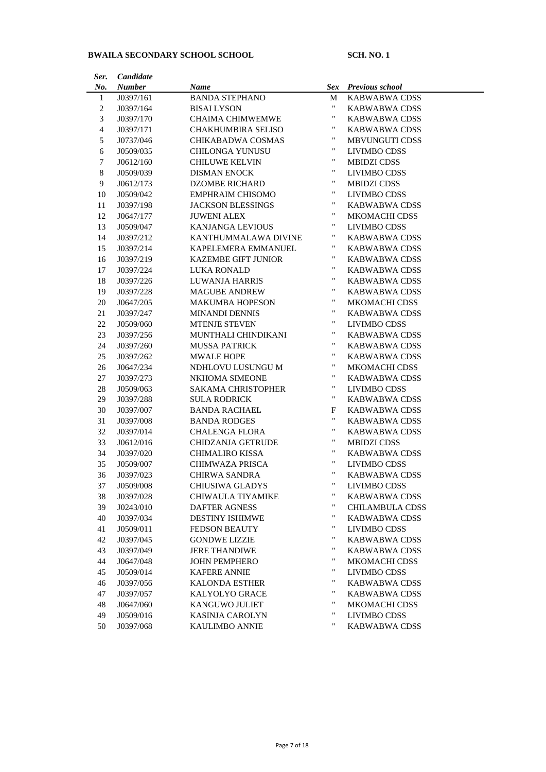# **BWAILA SECONDARY SCHOOL SCHOOL SCH. NO. 1**

| Ser.           | Candidate     |                           |                    |                        |
|----------------|---------------|---------------------------|--------------------|------------------------|
| No.            | <b>Number</b> | Name                      | Sex                | Previous school        |
| $\mathbf{1}$   | J0397/161     | <b>BANDA STEPHANO</b>     | M                  | KABWABWA CDSS          |
| $\overline{c}$ | J0397/164     | <b>BISAI LYSON</b>        | $\pmb{\mathsf{H}}$ | KABWABWA CDSS          |
| 3              | J0397/170     | <b>CHAIMA CHIMWEMWE</b>   | "                  | KABWABWA CDSS          |
| $\overline{4}$ | J0397/171     | <b>CHAKHUMBIRA SELISO</b> | "                  | KABWABWA CDSS          |
| 5              | J0737/046     | CHIKABADWA COSMAS         | "                  | <b>MBVUNGUTI CDSS</b>  |
| 6              | J0509/035     | <b>CHILONGA YUNUSU</b>    | "                  | LIVIMBO CDSS           |
| 7              | J0612/160     | <b>CHILUWE KELVIN</b>     | "                  | <b>MBIDZI CDSS</b>     |
| $\,8\,$        | J0509/039     | <b>DISMAN ENOCK</b>       | "                  | <b>LIVIMBO CDSS</b>    |
| 9              | J0612/173     | <b>DZOMBE RICHARD</b>     | "                  | <b>MBIDZI CDSS</b>     |
| 10             | J0509/042     | <b>EMPHRAIM CHISOMO</b>   | "                  | <b>LIVIMBO CDSS</b>    |
| 11             | J0397/198     | <b>JACKSON BLESSINGS</b>  | "                  | KABWABWA CDSS          |
| 12             | J0647/177     | <b>JUWENI ALEX</b>        | "                  | <b>MKOMACHI CDSS</b>   |
| 13             | J0509/047     | <b>KANJANGA LEVIOUS</b>   | "                  | <b>LIVIMBO CDSS</b>    |
| 14             | J0397/212     | KANTHUMMALAWA DIVINE      | "                  | <b>KABWABWA CDSS</b>   |
| 15             | J0397/214     | KAPELEMERA EMMANUEL       | 11                 | <b>KABWABWA CDSS</b>   |
| 16             | J0397/219     | KAZEMBE GIFT JUNIOR       | 11                 | <b>KABWABWA CDSS</b>   |
| 17             | J0397/224     | <b>LUKA RONALD</b>        | $\pmb{\mathsf{H}}$ | KABWABWA CDSS          |
| 18             | J0397/226     | <b>LUWANJA HARRIS</b>     | "                  | <b>KABWABWA CDSS</b>   |
| 19             | J0397/228     | <b>MAGUBE ANDREW</b>      | "                  | <b>KABWABWA CDSS</b>   |
| 20             | J0647/205     | <b>MAKUMBA HOPESON</b>    | "                  | <b>MKOMACHI CDSS</b>   |
| 21             | J0397/247     | <b>MINANDI DENNIS</b>     | "                  | <b>KABWABWA CDSS</b>   |
| 22             | J0509/060     | <b>MTENJE STEVEN</b>      | "                  | <b>LIVIMBO CDSS</b>    |
| 23             | J0397/256     | MUNTHALI CHINDIKANI       | "                  | KABWABWA CDSS          |
| 24             | J0397/260     | <b>MUSSA PATRICK</b>      | $\pmb{\mathsf{H}}$ | KABWABWA CDSS          |
| 25             | J0397/262     | <b>MWALE HOPE</b>         | $\pmb{\mathsf{H}}$ | KABWABWA CDSS          |
| 26             | J0647/234     | NDHLOVU LUSUNGU M         | "                  | <b>MKOMACHI CDSS</b>   |
| 27             | J0397/273     | NKHOMA SIMEONE            | "                  | KABWABWA CDSS          |
| 28             | J0509/063     | <b>SAKAMA CHRISTOPHER</b> | "                  | <b>LIVIMBO CDSS</b>    |
| 29             | J0397/288     | <b>SULA RODRICK</b>       | "                  | KABWABWA CDSS          |
| 30             | J0397/007     | <b>BANDA RACHAEL</b>      | F                  | KABWABWA CDSS          |
| 31             | J0397/008     | <b>BANDA RODGES</b>       | $\pmb{\mathsf{H}}$ | KABWABWA CDSS          |
| 32             | J0397/014     | <b>CHALENGA FLORA</b>     | "                  | KABWABWA CDSS          |
| 33             | J0612/016     | <b>CHIDZANJA GETRUDE</b>  | "                  | MBIDZI CDSS            |
| 34             | J0397/020     | <b>CHIMALIRO KISSA</b>    | "                  | KABWABWA CDSS          |
| 35             | J0509/007     | CHIMWAZA PRISCA           | "                  | <b>LIVIMBO CDSS</b>    |
| 36             | J0397/023     | <b>CHIRWA SANDRA</b>      | "                  | KABWABWA CDSS          |
| 37             | J0509/008     | <b>CHIUSIWA GLADYS</b>    | "                  | LIVIMBO CDSS           |
| 38             | J0397/028     | CHIWAULA TIYAMIKE         | "                  | <b>KABWABWA CDSS</b>   |
| 39             | J0243/010     | <b>DAFTER AGNESS</b>      | "                  | <b>CHILAMBULA CDSS</b> |
| 40             | J0397/034     | <b>DESTINY ISHIMWE</b>    | "                  | <b>KABWABWA CDSS</b>   |
| 41             | J0509/011     | <b>FEDSON BEAUTY</b>      | "                  | <b>LIVIMBO CDSS</b>    |
| 42             | J0397/045     | <b>GONDWE LIZZIE</b>      | "                  | <b>KABWABWA CDSS</b>   |
| 43             | J0397/049     | <b>JERE THANDIWE</b>      | "                  | <b>KABWABWA CDSS</b>   |
| 44             | J0647/048     | <b>JOHN PEMPHERO</b>      | "                  | <b>MKOMACHI CDSS</b>   |
| 45             | J0509/014     | <b>KAFERE ANNIE</b>       | "                  | LIVIMBO CDSS           |
| 46             | J0397/056     | <b>KALONDA ESTHER</b>     | "                  | <b>KABWABWA CDSS</b>   |
| 47             | J0397/057     | <b>KALYOLYO GRACE</b>     | "                  | <b>KABWABWA CDSS</b>   |
| 48             | J0647/060     | KANGUWO JULIET            | "                  | MKOMACHI CDSS          |
| 49             | J0509/016     | <b>KASINJA CAROLYN</b>    | "                  | <b>LIVIMBO CDSS</b>    |
| 50             | J0397/068     | <b>KAULIMBO ANNIE</b>     | "                  | <b>KABWABWA CDSS</b>   |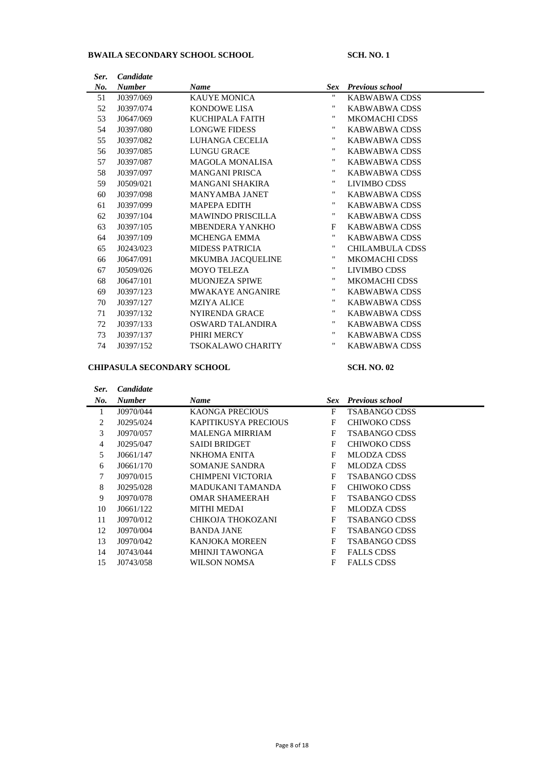# **BWAILA SECONDARY SCHOOL SCHOOL SCHOOL SCH. NO. 1**

| Ser. | Candidate     |                          |            |                        |
|------|---------------|--------------------------|------------|------------------------|
| No.  | <b>Number</b> | <b>Name</b>              | <b>Sex</b> | <b>Previous school</b> |
| 51   | J0397/069     | <b>KAUYE MONICA</b>      | 11         | KABWABWA CDSS          |
| 52   | J0397/074     | KONDOWE LISA             | "          | KABWABWA CDSS          |
| 53   | J0647/069     | KUCHIPALA FAITH          | "          | <b>MKOMACHI CDSS</b>   |
| 54   | J0397/080     | <b>LONGWE FIDESS</b>     | "          | KABWABWA CDSS          |
| 55   | J0397/082     | LUHANGA CECELIA          | 11         | <b>KABWABWA CDSS</b>   |
| 56   | J0397/085     | <b>LUNGU GRACE</b>       | 11         | KABWABWA CDSS          |
| 57   | J0397/087     | <b>MAGOLA MONALISA</b>   | 11         | <b>KABWABWA CDSS</b>   |
| 58   | J0397/097     | <b>MANGANI PRISCA</b>    |            | KABWABWA CDSS          |
| 59   | J0509/021     | <b>MANGANI SHAKIRA</b>   | 11         | LIVIMBO CDSS           |
| 60   | J0397/098     | <b>MANYAMBA JANET</b>    | "          | KABWABWA CDSS          |
| 61   | J0397/099     | <b>MAPEPA EDITH</b>      | "          | KABWABWA CDSS          |
| 62   | J0397/104     | <b>MAWINDO PRISCILLA</b> | 11         | KABWABWA CDSS          |
| 63   | J0397/105     | <b>MBENDERA YANKHO</b>   | $_{\rm F}$ | KABWABWA CDSS          |
| 64   | J0397/109     | MCHENGA EMMA             | 11         | KABWABWA CDSS          |
| 65   | J0243/023     | <b>MIDESS PATRICIA</b>   |            | <b>CHILAMBULA CDSS</b> |
| 66   | J0647/091     | MKUMBA JACQUELINE        | 11         | <b>MKOMACHI CDSS</b>   |
| 67   | J0509/026     | <b>MOYO TELEZA</b>       | "          | LIVIMBO CDSS           |
| 68   | J0647/101     | <b>MUONJEZA SPIWE</b>    | "          | <b>MKOMACHI CDSS</b>   |
| 69   | J0397/123     | <b>MWAKAYE ANGANIRE</b>  | "          | KABWABWA CDSS          |
| 70   | J0397/127     | <b>MZIYA ALICE</b>       | "          | KABWABWA CDSS          |
| 71   | J0397/132     | <b>NYIRENDA GRACE</b>    | .,         | KABWABWA CDSS          |
| 72   | J0397/133     | OSWARD TALANDIRA         | "          | KABWABWA CDSS          |
| 73   | J0397/137     | PHIRI MERCY              | .,         | KABWABWA CDSS          |
| 74   | J0397/152     | TSOKALAWO CHARITY        | "          | KABWABWA CDSS          |

## **CHIPASULA SECONDARY SCHOOL SCH. NO. 02**

| Ser. | <b>Candidate</b> |                             |            |                        |
|------|------------------|-----------------------------|------------|------------------------|
| No.  | <b>Number</b>    | <b>Name</b>                 | <b>Sex</b> | <b>Previous school</b> |
|      | J0970/044        | <b>KAONGA PRECIOUS</b>      | F          | <b>TSABANGO CDSS</b>   |
| 2    | J0295/024        | <b>KAPITIKUSYA PRECIOUS</b> | F          | CHIWOKO CDSS           |
| 3    | J0970/057        | <b>MALENGA MIRRIAM</b>      | F          | <b>TSABANGO CDSS</b>   |
| 4    | J0295/047        | <b>SAIDI BRIDGET</b>        | F          | CHIWOKO CDSS           |
| 5    | J0661/147        | NKHOMA ENITA                | F          | <b>MLODZA CDSS</b>     |
| 6    | J0661/170        | SOMANJE SANDRA              | F          | <b>MLODZA CDSS</b>     |
| 7    | J0970/015        | CHIMPENI VICTORIA           | F          | <b>TSABANGO CDSS</b>   |
| 8    | J0295/028        | MADUKANI TAMANDA            | F          | CHIWOKO CDSS           |
| 9    | J0970/078        | <b>OMAR SHAMEERAH</b>       | F          | <b>TSABANGO CDSS</b>   |
| 10   | J0661/122        | MITHI MEDAI                 | F          | MLODZA CDSS            |
| 11   | J0970/012        | CHIKOJA THOKOZANI           | F          | <b>TSABANGO CDSS</b>   |
| 12   | J0970/004        | <b>BANDA JANE</b>           | F          | <b>TSABANGO CDSS</b>   |
| 13   | J0970/042        | KANJOKA MOREEN              | F          | <b>TSABANGO CDSS</b>   |
| 14   | J0743/044        | <b>MHINJI TAWONGA</b>       | F          | <b>FALLS CDSS</b>      |
| 15   | J0743/058        | WILSON NOMSA                | F          | <b>FALLS CDSS</b>      |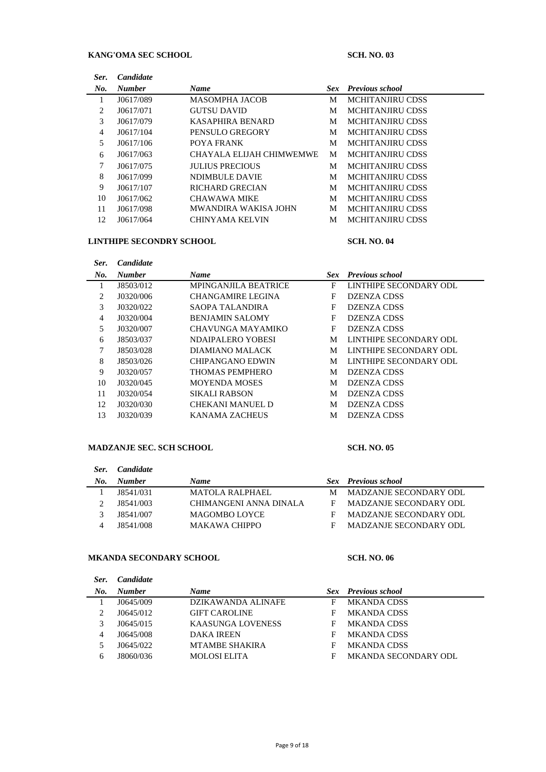## KANG'OMA SEC SCHOOL SCH. NO. 03

| Ser. | <i>Candidate</i> |                             |            |                        |
|------|------------------|-----------------------------|------------|------------------------|
| No.  | <b>Number</b>    | <b>Name</b>                 | <b>Sex</b> | <b>Previous school</b> |
| 1    | J0617/089        | <b>MASOMPHA JACOB</b>       | M          | MCHITANJIRU CDSS       |
| 2    | J0617/071        | <b>GUTSU DAVID</b>          | M          | MCHITANJIRU CDSS       |
| 3    | J0617/079        | KASAPHIRA BENARD            | M          | MCHITANJIRU CDSS       |
| 4    | J0617/104        | PENSULO GREGORY             | M          | MCHITANJIRU CDSS       |
| 5    | J0617/106        | POYA FRANK                  | М          | MCHITANJIRU CDSS       |
| 6    | J0617/063        | CHAYALA ELIJAH CHIMWEMWE    | M          | MCHITANJIRU CDSS       |
| 7    | J0617/075        | <b>JULIUS PRECIOUS</b>      | M          | MCHITANJIRU CDSS       |
| 8    | J0617/099        | <b>NDIMBULE DAVIE</b>       | M          | MCHITANJIRU CDSS       |
| 9    | J0617/107        | RICHARD GRECIAN             | M          | MCHITANJIRU CDSS       |
| 10   | J0617/062        | <b>CHAWAWA MIKE</b>         | M          | MCHITANJIRU CDSS       |
| 11   | J0617/098        | <b>MWANDIRA WAKISA JOHN</b> | М          | MCHITANJIRU CDSS       |
| 12   | J0617/064        | <b>CHINYAMA KELVIN</b>      | М          | MCHITANJIRU CDSS       |

### **LINTHIPE SECONDRY SCHOOL SCH. NO. 04**

| Ser. | <i>Candidate</i> |                             |      |                        |
|------|------------------|-----------------------------|------|------------------------|
| No.  | <b>Number</b>    | <b>Name</b>                 | Sex- | <b>Previous school</b> |
|      | J8503/012        | <b>MPINGANJILA BEATRICE</b> | F    | LINTHIPE SECONDARY ODL |
| 2    | J0320/006        | <b>CHANGAMIRE LEGINA</b>    | F    | DZENZA CDSS            |
| 3    | J0320/022        | SAOPA TALANDIRA             | F    | DZENZA CDSS            |
| 4    | J0320/004        | <b>BENJAMIN SALOMY</b>      | F    | <b>DZENZA CDSS</b>     |
| 5    | J0320/007        | CHAVUNGA MAYAMIKO           | F    | DZENZA CDSS            |
| 6    | J8503/037        | NDAIPALERO YOBESI           | М    | LINTHIPE SECONDARY ODL |
| 7    | J8503/028        | DIAMIANO MALACK             | М    | LINTHIPE SECONDARY ODL |
| 8    | J8503/026        | CHIPANGANO EDWIN            | М    | LINTHIPE SECONDARY ODL |
| 9    | J0320/057        | THOMAS PEMPHERO             | M    | DZENZA CDSS            |
| 10   | J0320/045        | <b>MOYENDA MOSES</b>        | М    | <b>DZENZA CDSS</b>     |
| 11   | J0320/054        | SIKALI RABSON               | М    | DZENZA CDSS            |
| 12   | J0320/030        | CHEKANI MANUEL D            | М    | DZENZA CDSS            |
| 13   | J0320/039        | <b>KANAMA ZACHEUS</b>       | М    | DZENZA CDSS            |

### **MADZANJE SEC. SCH SCHOOL SCH. NO. 05**

# *Ser. Candidate No. Number Name Sex Previous school* 1 J8541/031 MATOLA RALPHAEL M MADZANJE SECONDARY ODL J8541/003 CHIMANGENI ANNA DINALA F MADZANJE SECONDARY ODL J8541/007 MAGOMBO LOYCE F MADZANJE SECONDARY ODL J8541/008 MAKAWA CHIPPO F MADZANJE SECONDARY ODL

### **MKANDA SECONDARY SCHOOL SCH. NO. 06**

| Ser. | <i>Candidate</i> |                          |   |                            |
|------|------------------|--------------------------|---|----------------------------|
| No.  | <b>Number</b>    | <b>Name</b>              |   | <b>Sex</b> Previous school |
|      | J0645/009        | DZIKAWANDA ALINAFE       | F | <b>MKANDA CDSS</b>         |
|      | J0645/012        | <b>GIFT CAROLINE</b>     | F | <b>MKANDA CDSS</b>         |
|      | J0645/015        | <b>KAASUNGA LOVENESS</b> | F | <b>MKANDA CDSS</b>         |
| 4    | J0645/008        | <b>DAKA IREEN</b>        | F | <b>MKANDA CDSS</b>         |
|      | J0645/022        | <b>MTAMBE SHAKIRA</b>    | F | <b>MKANDA CDSS</b>         |
| h.   | J8060/036        | <b>MOLOSI ELITA</b>      | F | MKANDA SECONDARY ODL       |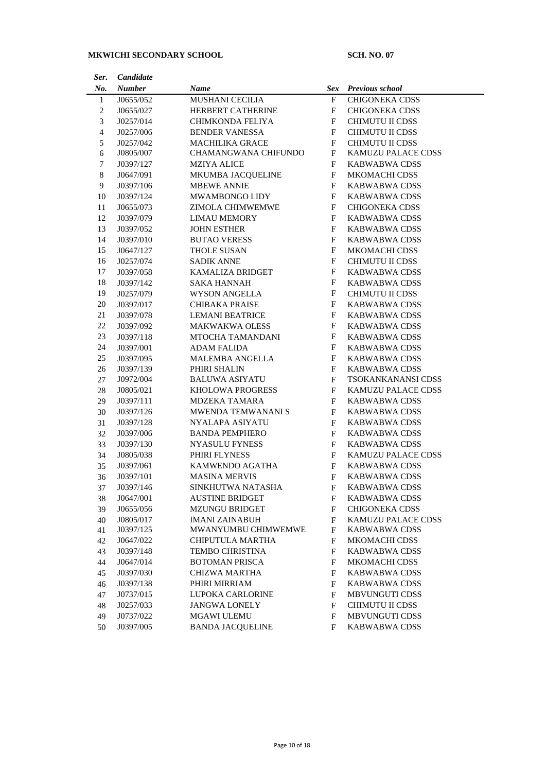# **MKWICHI SECONDARY SCHOOL SCH. NO. 07**

| Ser.           | Candidate     |                          |              |                        |
|----------------|---------------|--------------------------|--------------|------------------------|
| No.            | <b>Number</b> | Name                     | <b>Sex</b>   | <b>Previous school</b> |
| $\mathbf{1}$   | J0655/052     | <b>MUSHANI CECILIA</b>   | F            | <b>CHIGONEKA CDSS</b>  |
| 2              | J0655/027     | <b>HERBERT CATHERINE</b> | F            | <b>CHIGONEKA CDSS</b>  |
| 3              | J0257/014     | CHIMKONDA FELIYA         | F            | <b>CHIMUTU II CDSS</b> |
| $\overline{4}$ | J0257/006     | <b>BENDER VANESSA</b>    | F            | <b>CHIMUTU II CDSS</b> |
| 5              | J0257/042     | <b>MACHILIKA GRACE</b>   | F            | <b>CHIMUTU II CDSS</b> |
| 6              | J0805/007     | CHAMANGWANA CHIFUNDO     | F            | KAMUZU PALACE CDSS     |
| 7              | J0397/127     | <b>MZIYA ALICE</b>       | F            | <b>KABWABWA CDSS</b>   |
| 8              | J0647/091     | MKUMBA JACQUELINE        | F            | <b>MKOMACHI CDSS</b>   |
| 9              | J0397/106     | <b>MBEWE ANNIE</b>       | F            | KABWABWA CDSS          |
| 10             | J0397/124     | MWAMBONGO LIDY           | $\mathbf{F}$ | KABWABWA CDSS          |
| 11             | J0655/073     | ZIMOLA CHIMWEMWE         | $\mathbf{F}$ | <b>CHIGONEKA CDSS</b>  |
| 12             | J0397/079     | <b>LIMAU MEMORY</b>      | $\mathbf{F}$ | KABWABWA CDSS          |
| 13             | J0397/052     | <b>JOHN ESTHER</b>       | $\mathbf{F}$ | <b>KABWABWA CDSS</b>   |
| 14             | J0397/010     | <b>BUTAO VERESS</b>      | F            | KABWABWA CDSS          |
| 15             | J0647/127     | <b>THOLE SUSAN</b>       | F            | <b>MKOMACHI CDSS</b>   |
| 16             | J0257/074     | <b>SADIK ANNE</b>        | F            | CHIMUTU II CDSS        |
| 17             | J0397/058     | <b>KAMALIZA BRIDGET</b>  | F            | KABWABWA CDSS          |
| 18             | J0397/142     | SAKA HANNAH              | F            | <b>KABWABWA CDSS</b>   |
| 19             | J0257/079     | <b>WYSON ANGELLA</b>     | F            | CHIMUTU II CDSS        |
| 20             | J0397/017     | <b>CHIBAKA PRAISE</b>    | F            | <b>KABWABWA CDSS</b>   |
| 21             | J0397/078     | <b>LEMANI BEATRICE</b>   | F            | <b>KABWABWA CDSS</b>   |
| 22             | J0397/092     | <b>MAKWAKWA OLESS</b>    | F            | <b>KABWABWA CDSS</b>   |
| 23             | J0397/118     | MTOCHA TAMANDANI         | F            | <b>KABWABWA CDSS</b>   |
| 24             | J0397/001     | <b>ADAM FALIDA</b>       | F            | <b>KABWABWA CDSS</b>   |
| 25             | J0397/095     | MALEMBA ANGELLA          | F            | <b>KABWABWA CDSS</b>   |
| 26             | J0397/139     | PHIRI SHALIN             | F            | <b>KABWABWA CDSS</b>   |
| 27             | J0972/004     | <b>BALUWA ASIYATU</b>    | F            | TSOKANKANANSI CDSS     |
| 28             | J0805/021     | <b>KHOLOWA PROGRESS</b>  | F            | KAMUZU PALACE CDSS     |
| 29             | J0397/111     | <b>MDZEKA TAMARA</b>     | F            | <b>KABWABWA CDSS</b>   |
| 30             | J0397/126     | MWENDA TEMWANANI S       | F            | <b>KABWABWA CDSS</b>   |
| 31             | J0397/128     | NYALAPA ASIYATU          | F            | <b>KABWABWA CDSS</b>   |
| 32             | J0397/006     | <b>BANDA PEMPHERO</b>    | F            | KABWABWA CDSS          |
| 33             | J0397/130     | <b>NYASULU FYNESS</b>    | F            | <b>KABWABWA CDSS</b>   |
| 34             | J0805/038     | PHIRI FLYNESS            | F            | KAMUZU PALACE CDSS     |
| 35             | J0397/061     | KAMWENDO AGATHA          | F            | KABWABWA CDSS          |
| 36             | J0397/101     | <b>MASINA MERVIS</b>     | $\mathbf{F}$ | <b>KABWABWA CDSS</b>   |
| 37             | J0397/146     | SINKHUTWA NATASHA        | F            | KABWABWA CDSS          |
| 38             | J0647/001     | <b>AUSTINE BRIDGET</b>   | F            | <b>KABWABWA CDSS</b>   |
| 39             | J0655/056     | <b>MZUNGU BRIDGET</b>    | F            | <b>CHIGONEKA CDSS</b>  |
| 40             | J0805/017     | <b>IMANI ZAINABUH</b>    | F            | KAMUZU PALACE CDSS     |
| 41             | J0397/125     | MWANYUMBU CHIMWEMWE      | F            | KABWABWA CDSS          |
| 42             | J0647/022     | CHIPUTULA MARTHA         | F            | <b>MKOMACHI CDSS</b>   |
| 43             | J0397/148     | <b>TEMBO CHRISTINA</b>   | F            | <b>KABWABWA CDSS</b>   |
| 44             | J0647/014     | <b>BOTOMAN PRISCA</b>    | F            | <b>MKOMACHI CDSS</b>   |
| 45             | J0397/030     | <b>CHIZWA MARTHA</b>     | F            | <b>KABWABWA CDSS</b>   |
| 46             | J0397/138     | PHIRI MIRRIAM            | F            | KABWABWA CDSS          |
| 47             | J0737/015     | <b>LUPOKA CARLORINE</b>  | F            | <b>MBVUNGUTI CDSS</b>  |
| 48             | J0257/033     | <b>JANGWA LONELY</b>     | F            | CHIMUTU II CDSS        |
| 49             | J0737/022     | <b>MGAWI ULEMU</b>       | F            | <b>MBVUNGUTI CDSS</b>  |
| 50             | J0397/005     | <b>BANDA JACQUELINE</b>  | F            | <b>KABWABWA CDSS</b>   |
|                |               |                          |              |                        |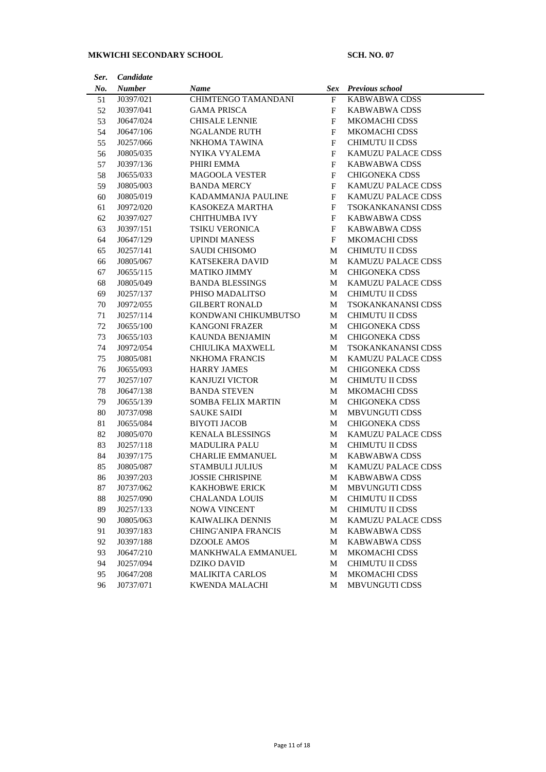# **MKWICHI SECONDARY SCHOOL SCH. NO. 07**

| Ser. | Candidate     |                            |              |                           |
|------|---------------|----------------------------|--------------|---------------------------|
| No.  | <b>Number</b> | Name                       | Sex          | <b>Previous school</b>    |
| 51   | J0397/021     | CHIMTENGO TAMANDANI        | F            | <b>KABWABWA CDSS</b>      |
| 52   | J0397/041     | <b>GAMA PRISCA</b>         | F            | KABWABWA CDSS             |
| 53   | J0647/024     | <b>CHISALE LENNIE</b>      | F            | <b>MKOMACHI CDSS</b>      |
| 54   | J0647/106     | <b>NGALANDE RUTH</b>       | F            | <b>MKOMACHI CDSS</b>      |
| 55   | J0257/066     | NKHOMA TAWINA              | F            | CHIMUTU II CDSS           |
| 56   | J0805/035     | NYIKA VYALEMA              | F            | KAMUZU PALACE CDSS        |
| 57   | J0397/136     | PHIRI EMMA                 | F            | <b>KABWABWA CDSS</b>      |
| 58   | J0655/033     | <b>MAGOOLA VESTER</b>      | $\mathbf{F}$ | <b>CHIGONEKA CDSS</b>     |
| 59   | J0805/003     | <b>BANDA MERCY</b>         | $\mathbf{F}$ | KAMUZU PALACE CDSS        |
| 60   | J0805/019     | KADAMMANJA PAULINE         | F            | KAMUZU PALACE CDSS        |
| 61   | J0972/020     | <b>KASOKEZA MARTHA</b>     | F            | TSOKANKANANSI CDSS        |
| 62   | J0397/027     | <b>CHITHUMBA IVY</b>       | F            | KABWABWA CDSS             |
| 63   | J0397/151     | TSIKU VERONICA             | F            | KABWABWA CDSS             |
| 64   | J0647/129     | <b>UPINDI MANESS</b>       | F            | MKOMACHI CDSS             |
| 65   | J0257/141     | <b>SAUDI CHISOMO</b>       | М            | <b>CHIMUTU II CDSS</b>    |
| 66   | J0805/067     | <b>KATSEKERA DAVID</b>     | M            | KAMUZU PALACE CDSS        |
| 67   | J0655/115     | <b>MATIKO JIMMY</b>        | M            | <b>CHIGONEKA CDSS</b>     |
| 68   | J0805/049     | <b>BANDA BLESSINGS</b>     | M            | KAMUZU PALACE CDSS        |
| 69   | J0257/137     | PHISO MADALITSO            | M            | CHIMUTU II CDSS           |
| 70   | J0972/055     | <b>GILBERT RONALD</b>      | М            | TSOKANKANANSI CDSS        |
| 71   | J0257/114     | KONDWANI CHIKUMBUTSO       | M            | CHIMUTU II CDSS           |
| 72   | J0655/100     | <b>KANGONI FRAZER</b>      | M            | <b>CHIGONEKA CDSS</b>     |
| 73   | J0655/103     | KAUNDA BENJAMIN            | М            | <b>CHIGONEKA CDSS</b>     |
| 74   | J0972/054     | CHIULIKA MAXWELL           | М            | <b>TSOKANKANANSI CDSS</b> |
| 75   | J0805/081     | <b>NKHOMA FRANCIS</b>      | М            | KAMUZU PALACE CDSS        |
| 76   | J0655/093     | <b>HARRY JAMES</b>         | М            | <b>CHIGONEKA CDSS</b>     |
| 77   | J0257/107     | <b>KANJUZI VICTOR</b>      | М            | CHIMUTU II CDSS           |
| 78   | J0647/138     | <b>BANDA STEVEN</b>        | М            | <b>MKOMACHI CDSS</b>      |
| 79   | J0655/139     | <b>SOMBA FELIX MARTIN</b>  | M            | <b>CHIGONEKA CDSS</b>     |
| 80   | J0737/098     | <b>SAUKE SAIDI</b>         | M            | MBVUNGUTI CDSS            |
| 81   | J0655/084     | <b>BIYOTI JACOB</b>        | М            | <b>CHIGONEKA CDSS</b>     |
| 82   | J0805/070     | <b>KENALA BLESSINGS</b>    | M            | KAMUZU PALACE CDSS        |
| 83   | J0257/118     | <b>MADULIRA PALU</b>       | М            | CHIMUTU II CDSS           |
| 84   | J0397/175     | <b>CHARLIE EMMANUEL</b>    | М            | <b>KABWABWA CDSS</b>      |
| 85   | J0805/087     | <b>STAMBULI JULIUS</b>     | М            | KAMUZU PALACE CDSS        |
| 86   | J0397/203     | <b>JOSSIE CHRISPINE</b>    | М            | <b>KABWABWA CDSS</b>      |
| 87   | J0737/062     | <b>KAKHOBWE ERICK</b>      | M            | MBVUNGUTI CDSS            |
| 88   | J0257/090     | <b>CHALANDA LOUIS</b>      | M            | CHIMUTU II CDSS           |
| 89   | J0257/133     | <b>NOWA VINCENT</b>        | M            | <b>CHIMUTU II CDSS</b>    |
| 90   | J0805/063     | KAIWALIKA DENNIS           | М            | KAMUZU PALACE CDSS        |
| 91   | J0397/183     | <b>CHING'ANIPA FRANCIS</b> | M            | <b>KABWABWA CDSS</b>      |
| 92   | J0397/188     | <b>DZOOLE AMOS</b>         | М            | <b>KABWABWA CDSS</b>      |
| 93   | J0647/210     | MANKHWALA EMMANUEL         | M            | MKOMACHI CDSS             |
| 94   | J0257/094     | DZIKO DAVID                | M            | CHIMUTU II CDSS           |
| 95   | J0647/208     | <b>MALIKITA CARLOS</b>     | M            | MKOMACHI CDSS             |
| 96   | J0737/071     | KWENDA MALACHI             | M            | <b>MBVUNGUTI CDSS</b>     |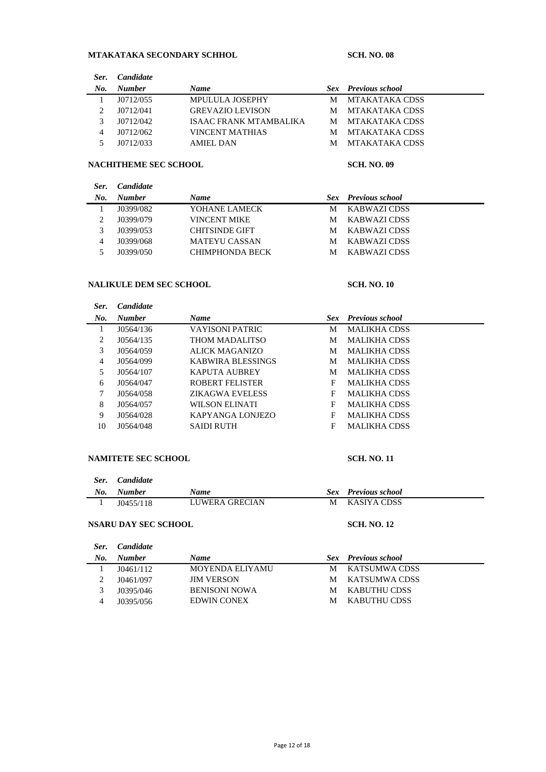# **MTAKATAKA SECONDARY SCHHOL SCH. NO. 08**

| <b>Candidate</b> |                         |   |                            |
|------------------|-------------------------|---|----------------------------|
| <b>Number</b>    | <b>Name</b>             |   | <b>Sex</b> Previous school |
| J0712/055        | <b>MPULULA JOSEPHY</b>  | М | MTAKATAKA CDSS             |
| J0712/041        | <b>GREVAZIO LEVISON</b> | M | MTAKATAKA CDSS             |
| J0712/042        | ISAAC FRANK MTAMBALIKA  |   | M MTAKATAKA CDSS           |
| J0712/062        | VINCENT MATHIAS         | M | MTAKATAKA CDSS             |
| 10712/033        | <b>AMIEL DAN</b>        | м | MTAKATAKA CDSS             |
|                  |                         |   |                            |

### **NACHITHEME SEC SCHOOL SCH. NO. 09**

| Ser. | <i>Candidate</i> |                       |   |                            |  |
|------|------------------|-----------------------|---|----------------------------|--|
| No.  | <b>Number</b>    | <b>Name</b>           |   | <b>Sex</b> Previous school |  |
|      | J0399/082        | YOHANE LAMECK         | М | KABWAZI CDSS               |  |
|      | J0399/079        | <b>VINCENT MIKE</b>   | М | KABWAZI CDSS               |  |
|      | J0399/053        | <b>CHITSINDE GIFT</b> | М | KABWAZI CDSS               |  |
| 4    | J0399/068        | <b>MATEYU CASSAN</b>  | М | KABWAZI CDSS               |  |
|      | J0399/050        | CHIMPHONDA BECK       | М | KABWAZI CDSS               |  |

### **NALIKULE DEM SEC SCHOOL SCH. NO. 10**

| Ser. | <b>Candidate</b> |                        |   |                            |
|------|------------------|------------------------|---|----------------------------|
| No.  | <b>Number</b>    | <b>Name</b>            |   | <b>Sex</b> Previous school |
| 1    | J0564/136        | VAYISONI PATRIC        | M | <b>MALIKHA CDSS</b>        |
| 2    | J0564/135        | THOM MADALITSO         | M | <b>MALIKHA CDSS</b>        |
| 3    | J0564/059        | ALICK MAGANIZO         | М | <b>MALIKHA CDSS</b>        |
| 4    | J0564/099        | KABWIRA BLESSINGS      | M | <b>MALIKHA CDSS</b>        |
| 5    | J0564/107        | <b>KAPUTA AUBREY</b>   | M | <b>MALIKHA CDSS</b>        |
| 6    | J0564/047        | ROBERT FELISTER        | F | <b>MALIKHA CDSS</b>        |
| 7    | J0564/058        | <b>ZIKAGWA EVELESS</b> | F | <b>MALIKHA CDSS</b>        |
| 8    | J0564/057        | WILSON ELINATI         | F | <b>MALIKHA CDSS</b>        |
| 9    | J0564/028        | KAPYANGA LONJEZO       | F | <b>MALIKHA CDSS</b>        |
| 10   | J0564/048        | <b>SAIDI RUTH</b>      | F | <b>MALIKHA CDSS</b>        |
|      |                  |                        |   |                            |

### **NAMITETE SEC SCHOOL SCH. NO. 11**

| Ser. | Candidate     |                |   |                            |
|------|---------------|----------------|---|----------------------------|
| No.  | <b>Number</b> | <b>Name</b>    |   | <b>Sex</b> Previous school |
|      | J(0455/118)   | LUWERA GRECIAN | М | KASIYA CDSS                |

## **NSARU DAY SEC SCHOOL SCH. NO. 12**

| Ser. | <i>Candidate</i> |                        |   |                            |
|------|------------------|------------------------|---|----------------------------|
| No.  | <b>Number</b>    | <b>Name</b>            |   | <b>Sex Previous</b> school |
|      | J(0461/112)      | <b>MOYENDA ELIYAMU</b> | М | KATSUMWA CDSS              |
|      | J0461/097        | <b>JIM VERSON</b>      | М | KATSUMWA CDSS              |
|      | J0395/046        | <b>BENISONI NOWA</b>   | М | KABUTHU CDSS               |
| 4    | J0395/056        | <b>EDWIN CONEX</b>     | М | KABUTHU CDSS               |
|      |                  |                        |   |                            |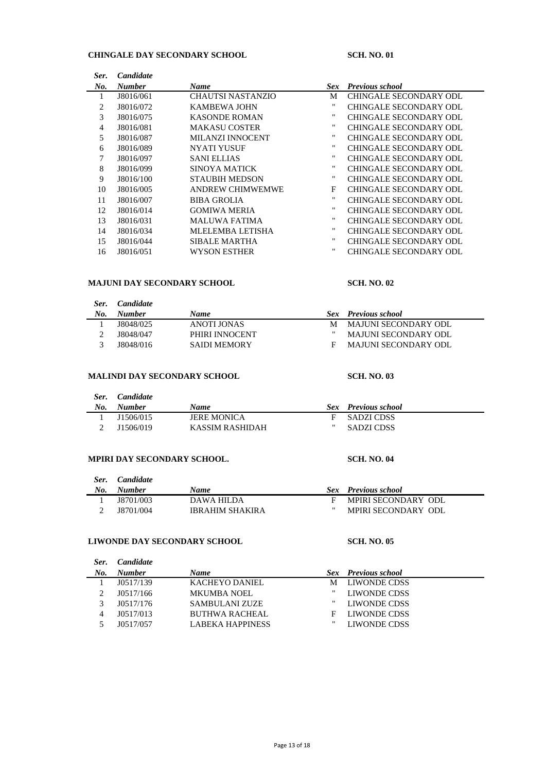## **CHINGALE DAY SECONDARY SCHOOL SCH. NO. 01**

*Ser. Candidate*

| No. | <b>Number</b> | <b>Name</b>             | <b>Sex</b> | <b>Previous school</b>        |
|-----|---------------|-------------------------|------------|-------------------------------|
|     | J8016/061     | CHAUTSI NASTANZIO       | М          | CHINGALE SECONDARY ODL        |
| 2   | J8016/072     | KAMBEWA JOHN            | "          | <b>CHINGALE SECONDARY ODL</b> |
| 3   | J8016/075     | <b>KASONDE ROMAN</b>    |            | CHINGALE SECONDARY ODL        |
| 4   | J8016/081     | <b>MAKASU COSTER</b>    |            | <b>CHINGALE SECONDARY ODL</b> |
| 5   | J8016/087     | MILANZI INNOCENT        |            | CHINGALE SECONDARY ODL        |
| 6   | J8016/089     | NYATI YUSUF             | "          | CHINGALE SECONDARY ODL        |
| 7   | J8016/097     | <b>SANI ELLIAS</b>      |            | CHINGALE SECONDARY ODL        |
| 8   | J8016/099     | <b>SINOYA MATICK</b>    | .,         | <b>CHINGALE SECONDARY ODL</b> |
| 9   | J8016/100     | <b>STAUBIH MEDSON</b>   |            | CHINGALE SECONDARY ODL        |
| 10  | J8016/005     | <b>ANDREW CHIMWEMWE</b> | F          | CHINGALE SECONDARY ODL        |
| 11  | J8016/007     | <b>BIBA GROLIA</b>      | "          | CHINGALE SECONDARY ODL        |
| 12  | J8016/014     | <b>GOMIWA MERIA</b>     |            | CHINGALE SECONDARY ODL        |
| 13  | J8016/031     | <b>MALUWA FATIMA</b>    | .,         | CHINGALE SECONDARY ODL        |
| 14  | J8016/034     | MLELEMBA LETISHA        | .,         | <b>CHINGALE SECONDARY ODL</b> |
| 15  | J8016/044     | <b>SIBALE MARTHA</b>    |            | <b>CHINGALE SECONDARY ODL</b> |
| 16  | J8016/051     | WYSON ESTHER            | ,,         | CHINGALE SECONDARY ODL        |

### **MAJUNI DAY SECONDARY SCHOOL SCH. NO. 02**

| Ser.<br>No. | <i>Candidate</i><br><b>Number</b> | <b>Name</b>    |   | <b>Sex</b> Previous school  |
|-------------|-----------------------------------|----------------|---|-----------------------------|
|             | J8048/025                         | ANOTI JONAS    |   | MAJUNI SECONDARY ODL        |
|             | J8048/047                         | PHIRI INNOCENT | " | <b>MAJUNI SECONDARY ODL</b> |
|             | 18048/016                         | SAIDI MEMORY   | F | <b>MAJUNI SECONDARY ODL</b> |

## **MALINDI DAY SECONDARY SCHOOL SCH. NO. 03**

| Ser. | <i>Candidate</i> |                    |    |                     |  |
|------|------------------|--------------------|----|---------------------|--|
| No.  | <b>Number</b>    | <b>Name</b>        |    | Sex Previous school |  |
|      | J1506/015        | <b>JERE MONICA</b> | E  | - SADZI CDSS        |  |
|      | J1506/019        | KASSIM RASHIDAH    | ., | <b>SADZI CDSS</b>   |  |

### **MPIRI DAY SECONDARY SCHOOL. SCH. NO. 04**

| Ser.<br>No. | Candidate<br><b>Number</b> | Name            |                   | <b>Sex</b> Previous school |
|-------------|----------------------------|-----------------|-------------------|----------------------------|
|             | 18701/003                  | DAWA HILDA      |                   | MPIRI SECONDARY ODL        |
|             | 18701/004                  | IBRAHIM SHAKIRA | $^{\prime\prime}$ | MPIRI SECONDARY ODL        |

### **LIWONDE DAY SECONDARY SCHOOL SCH. NO. 05**

| Ser. | <b>Candidate</b> |                         |   |                            |
|------|------------------|-------------------------|---|----------------------------|
| No.  | <b>Number</b>    | Name                    |   | <b>Sex</b> Previous school |
|      | J0517/139        | KACHEYO DANIEL          | М | LIWONDE CDSS               |
|      | J0517/166        | <b>MKUMBA NOEL</b>      | " | LIWONDE CDSS               |
|      | J0517/176        | SAMBULANI ZUZE          | " | LIWONDE CDSS               |
| 4    | J0517/013        | <b>BUTHWA RACHEAL</b>   | F | LIWONDE CDSS               |
|      | J0517/057        | <b>LABEKA HAPPINESS</b> | " | LIWONDE CDSS               |
|      |                  |                         |   |                            |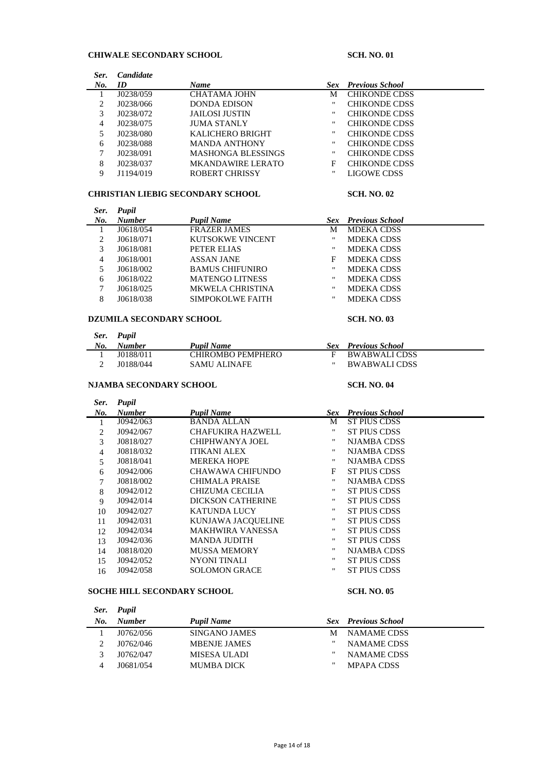## **CHIWALE SECONDARY SCHOOL SCH. NO. 01**

| Ser. | <b>Candidate</b> |                           |      |                        |
|------|------------------|---------------------------|------|------------------------|
| No.  | ID               | <b>Name</b>               | Sex- | <b>Previous School</b> |
|      | J0238/059        | CHATAMA JOHN              | М    | <b>CHIKONDE CDSS</b>   |
|      | J0238/066        | <b>DONDA EDISON</b>       | "    | <b>CHIKONDE CDSS</b>   |
| 3    | J0238/072        | JAILOSI JUSTIN            | "    | <b>CHIKONDE CDSS</b>   |
| 4    | J0238/075        | <b>JUMA STANLY</b>        | "    | <b>CHIKONDE CDSS</b>   |
|      | J0238/080        | <b>KALICHERO BRIGHT</b>   | "    | <b>CHIKONDE CDSS</b>   |
| 6    | J0238/088        | <b>MANDA ANTHONY</b>      | "    | <b>CHIKONDE CDSS</b>   |
|      | J0238/091        | <b>MASHONGA BLESSINGS</b> | "    | <b>CHIKONDE CDSS</b>   |
| 8    | J0238/037        | <b>MKANDAWIRE LERATO</b>  | F    | <b>CHIKONDE CDSS</b>   |
| 9    | J1194/019        | ROBERT CHRISSY            | "    | LIGOWE CDSS            |

### **CHRISTIAN LIEBIG SECONDARY SCHOOL SCH. NO. 02**

| Ser. | Pupil         |                         |                   |                            |
|------|---------------|-------------------------|-------------------|----------------------------|
| No.  | <b>Number</b> | Pupil Name              |                   | <b>Sex</b> Previous School |
|      | J0618/054     | <b>FRAZER JAMES</b>     | М                 | <b>MDEKA CDSS</b>          |
| 2    | J0618/071     | KUTSOKWE VINCENT        | "                 | <b>MDEKA CDSS</b>          |
| 3    | J0618/081     | PETER ELIAS             | $^{\prime\prime}$ | <b>MDEKA CDSS</b>          |
| 4    | J0618/001     | <b>ASSAN JANE</b>       | F                 | <b>MDEKA CDSS</b>          |
| 5    | J0618/002     | <b>BAMUS CHIFUNIRO</b>  | $^{\prime\prime}$ | <b>MDEKA CDSS</b>          |
| 6    | J0618/022     | <b>MATENGO LITNESS</b>  | $^{\prime\prime}$ | <b>MDEKA CDSS</b>          |
| 7    | J0618/025     | <b>MKWELA CHRISTINA</b> | $^{\prime\prime}$ | <b>MDEKA CDSS</b>          |
| 8    | J0618/038     | SIMPOKOLWE FAITH        | $^{\dagger}$      | <b>MDEKA CDSS</b>          |

### **DZUMILA SECONDARY SCHOOL SCH. NO. 03**

| Ser. | Pupil |
|------|-------|
|------|-------|

| No. | <b>Number</b> | <b>Pupil Name</b> | <b>Sex</b> Previous School |
|-----|---------------|-------------------|----------------------------|
|     | 10188/011     | CHIROMBO PEMPHERO | BWABWALI CDSS              |
|     | 10188/044     | SAMU ALINAFE      | <b>BWABWALI CDSS</b>       |

### **NJAMBA SECONDARY SCHOOL SCH. NO. 04**

| Ser.           | Pupil         |                          |                    |                        |
|----------------|---------------|--------------------------|--------------------|------------------------|
| No.            | <b>Number</b> | <b>Pupil Name</b>        | Sex                | <b>Previous School</b> |
| 1              | J0942/063     | <b>BANDA ALLAN</b>       | М                  | <b>ST PIUS CDSS</b>    |
| 2              | J0942/067     | <b>CHAFUKIRA HAZWELL</b> | $\pmb{\mathsf{H}}$ | <b>ST PIUS CDSS</b>    |
| 3              | J0818/027     | CHIPHWANYA JOEL          |                    | <b>NJAMBA CDSS</b>     |
| $\overline{4}$ | J0818/032     | <b>ITIKANI ALEX</b>      | "                  | <b>NJAMBA CDSS</b>     |
| 5              | J0818/041     | <b>MEREKA HOPE</b>       | "                  | <b>NJAMBA CDSS</b>     |
| 6              | J0942/006     | CHAWAWA CHIFUNDO         | F                  | <b>ST PIUS CDSS</b>    |
| 7              | J0818/002     | <b>CHIMALA PRAISE</b>    | $^{\bullet}$       | <b>NJAMBA CDSS</b>     |
| 8              | J0942/012     | CHIZUMA CECILIA          |                    | <b>ST PIUS CDSS</b>    |
| 9              | J0942/014     | DICKSON CATHERINE        | $^{\prime\prime}$  | <b>ST PIUS CDSS</b>    |
| 10             | J0942/027     | <b>KATUNDA LUCY</b>      |                    | <b>ST PIUS CDSS</b>    |
| 11             | J0942/031     | KUNJAWA JACQUELINE       | $^{\prime\prime}$  | <b>ST PIUS CDSS</b>    |
| 12             | J0942/034     | <b>MAKHWIRA VANESSA</b>  | $\mathbf{H}$       | <b>ST PIUS CDSS</b>    |
| 13             | J0942/036     | <b>MANDA JUDITH</b>      |                    | <b>ST PIUS CDSS</b>    |
| 14             | J0818/020     | <b>MUSSA MEMORY</b>      |                    | <b>NJAMBA CDSS</b>     |
| 15             | J0942/052     | NYONI TINALI             |                    | <b>ST PIUS CDSS</b>    |
| 16             | J0942/058     | <b>SOLOMON GRACE</b>     | $^{\prime\prime}$  | ST PIUS CDSS           |
|                |               |                          |                    |                        |

## **SOCHE HILL SECONDARY SCHOOL SCH. NO. 05**

L,

|     | Ser. Pupil    |                      |   |                            |
|-----|---------------|----------------------|---|----------------------------|
| No. | <b>Number</b> | <b>Pupil Name</b>    |   | <b>Sex</b> Previous School |
|     | J0762/056     | <b>SINGANO JAMES</b> | М | NAMAME CDSS                |
|     | J0762/046     | <b>MBENJE JAMES</b>  | " | <b>NAMAME CDSS</b>         |
|     | J0762/047     | MISESA ULADI         | " | <b>NAMAME CDSS</b>         |
|     | J0681/054     | <b>MUMBA DICK</b>    | " | <b>MPAPA CDSS</b>          |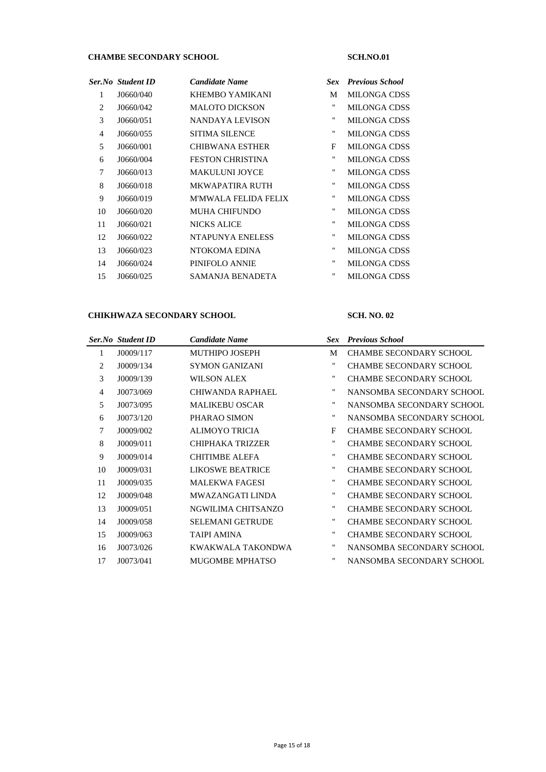# **CHAMBE SECONDARY SCHOOL SCH.NO.01**

|                | Ser.No Student ID | <b>Candidate Name</b>       | Sex          | <b>Previous School</b> |
|----------------|-------------------|-----------------------------|--------------|------------------------|
| 1              | J0660/040         | KHEMBO YAMIKANI             | M            | <b>MILONGA CDSS</b>    |
| 2              | J0660/042         | <b>MALOTO DICKSON</b>       | 11           | <b>MILONGA CDSS</b>    |
| 3              | J0660/051         | <b>NANDAYA LEVISON</b>      | "            | <b>MILONGA CDSS</b>    |
| $\overline{4}$ | J0660/055         | <b>SITIMA SILENCE</b>       | 11           | <b>MILONGA CDSS</b>    |
| 5              | J0660/001         | <b>CHIBWANA ESTHER</b>      | F            | <b>MILONGA CDSS</b>    |
| 6              | J0660/004         | <b>FESTON CHRISTINA</b>     | "            | <b>MILONGA CDSS</b>    |
| 7              | J0660/013         | <b>MAKULUNI JOYCE</b>       | 11           | <b>MILONGA CDSS</b>    |
| 8              | J0660/018         | <b>MKWAPATIRA RUTH</b>      | 11           | <b>MILONGA CDSS</b>    |
| 9              | J0660/019         | <b>M'MWALA FELIDA FELIX</b> | 11           | <b>MILONGA CDSS</b>    |
| 10             | J0660/020         | <b>MUHA CHIFUNDO</b>        | $\mathbf{H}$ | <b>MILONGA CDSS</b>    |
| 11             | J0660/021         | <b>NICKS ALICE</b>          | $\mathbf{H}$ | <b>MILONGA CDSS</b>    |
| 12             | J0660/022         | NTAPUNYA ENELESS            | $\mathbf{H}$ | <b>MILONGA CDSS</b>    |
| 13             | J0660/023         | NTOKOMA EDINA               | 11           | <b>MILONGA CDSS</b>    |
| 14             | J0660/024         | PINIFOLO ANNIE              | 11           | <b>MILONGA CDSS</b>    |
| 15             | J0660/025         | <b>SAMANJA BENADETA</b>     |              | <b>MILONGA CDSS</b>    |
|                |                   |                             |              |                        |

## **CHIKHWAZA SECONDARY SCHOOL SCH. NO. 02**

|                | Ser.No Student ID | <b>Candidate Name</b>   |                    | <b>Sex</b> Previous School     |
|----------------|-------------------|-------------------------|--------------------|--------------------------------|
| 1              | J0009/117         | <b>MUTHIPO JOSEPH</b>   | M                  | <b>CHAMBE SECONDARY SCHOOL</b> |
| 2              | J0009/134         | <b>SYMON GANIZANI</b>   | 11                 | <b>CHAMBE SECONDARY SCHOOL</b> |
| 3              | J0009/139         | WILSON ALEX             | 11                 | <b>CHAMBE SECONDARY SCHOOL</b> |
| $\overline{4}$ | J0073/069         | CHIWANDA RAPHAEL        | 11                 | NANSOMBA SECONDARY SCHOOL      |
| 5              | J0073/095         | <b>MALIKEBU OSCAR</b>   | 11                 | NANSOMBA SECONDARY SCHOOL      |
| 6              | J0073/120         | PHARAO SIMON            | 11                 | NANSOMBA SECONDARY SCHOOL      |
| 7              | J0009/002         | ALIMOYO TRICIA          | F                  | <b>CHAMBE SECONDARY SCHOOL</b> |
| 8              | J0009/011         | CHIPHAKA TRIZZER        | 11                 | CHAMBE SECONDARY SCHOOL        |
| 9              | J0009/014         | <b>CHITIMBE ALEFA</b>   | 11                 | <b>CHAMBE SECONDARY SCHOOL</b> |
| 10             | J0009/031         | LIKOSWE BEATRICE        | 11                 | <b>CHAMBE SECONDARY SCHOOL</b> |
| 11             | J0009/035         | <b>MALEKWA FAGESI</b>   | 11                 | CHAMBE SECONDARY SCHOOL        |
| 12             | J0009/048         | MWAZANGATI LINDA        | 11                 | <b>CHAMBE SECONDARY SCHOOL</b> |
| 13             | J0009/051         | NGWILIMA CHITSANZO      | 11                 | <b>CHAMBE SECONDARY SCHOOL</b> |
| 14             | J0009/058         | <b>SELEMANI GETRUDE</b> | 11                 | <b>CHAMBE SECONDARY SCHOOL</b> |
| 15             | J0009/063         | <b>TAIPI AMINA</b>      | 11                 | <b>CHAMBE SECONDARY SCHOOL</b> |
| 16             | J0073/026         | KWAKWALA TAKONDWA       | $\pmb{\mathsf{H}}$ | NANSOMBA SECONDARY SCHOOL      |
| 17             | J0073/041         | <b>MUGOMBE MPHATSO</b>  | 11                 | NANSOMBA SECONDARY SCHOOL      |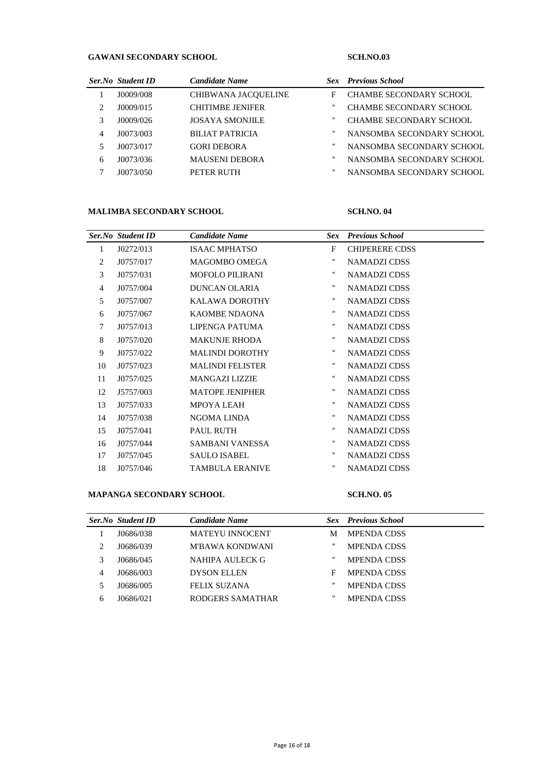## **GAWANI SECONDARY SCHOOL SCH.NO.03**

|   | Ser.No Student ID | <b>Candidate Name</b>   |    | <b>Sex</b> Previous School     |
|---|-------------------|-------------------------|----|--------------------------------|
|   | J0009/008         | CHIBWANA JACOUELINE     | F  | <b>CHAMBE SECONDARY SCHOOL</b> |
| 2 | J0009/015         | <b>CHITIMBE JENIFER</b> |    | <b>CHAMBE SECONDARY SCHOOL</b> |
| 3 | J0009/026         | <b>JOSAYA SMONJILE</b>  | ., | <b>CHAMBE SECONDARY SCHOOL</b> |
| 4 | J0073/003         | <b>BILIAT PATRICIA</b>  | ., | NANSOMBA SECONDARY SCHOOL      |
|   | J0073/017         | <b>GORI DEBORA</b>      | ., | NANSOMBA SECONDARY SCHOOL      |
| 6 | J0073/036         | <b>MAUSENI DEBORA</b>   | ., | NANSOMBA SECONDARY SCHOOL      |
|   | J0073/050         | PETER RUTH              |    | NANSOMBA SECONDARY SCHOOL      |

### **MALIMBA SECONDARY SCHOOL SCH.NO. 04**

|                | <b>Ser.No</b> Student ID | <b>Candidate Name</b>   | <b>Sex</b>        | <b>Previous School</b> |
|----------------|--------------------------|-------------------------|-------------------|------------------------|
| $\mathbf{1}$   | J0272/013                | <b>ISAAC MPHATSO</b>    | F                 | <b>CHIPERERE CDSS</b>  |
| 2              | J0757/017                | <b>MAGOMBO OMEGA</b>    | $\mathbf{H}$      | NAMADZI CDSS           |
| 3              | J0757/031                | MOFOLO PILIRANI         | $^{\prime\prime}$ | NAMADZI CDSS           |
| $\overline{4}$ | J0757/004                | <b>DUNCAN OLARIA</b>    | $\mathbf{H}$      | NAMADZI CDSS           |
| 5              | J0757/007                | KALAWA DOROTHY          | 11                | <b>NAMADZI CDSS</b>    |
| 6              | J0757/067                | KAOMBE NDAONA           | 11                | NAMADZI CDSS           |
| 7              | J0757/013                | LIPENGA PATUMA          | $\mathbf{H}$      | NAMADZI CDSS           |
| 8              | J0757/020                | <b>MAKUNJE RHODA</b>    | $^{\prime\prime}$ | NAMADZI CDSS           |
| 9              | J0757/022                | <b>MALINDI DOROTHY</b>  | $^{\prime\prime}$ | <b>NAMADZI CDSS</b>    |
| 10             | J0757/023                | <b>MALINDI FELISTER</b> | $\mathbf{H}$      | NAMADZI CDSS           |
| 11             | J0757/025                | <b>MANGAZI LIZZIE</b>   | $\mathbf{H}$      | NAMADZI CDSS           |
| 12             | J5757/003                | <b>MATOPE JENIPHER</b>  | $\mathbf{H}$      | NAMADZI CDSS           |
| 13             | J0757/033                | <b>MPOYA LEAH</b>       | $\mathbf{H}$      | NAMADZI CDSS           |
| 14             | J0757/038                | NGOMA LINDA             | $\mathbf{H}$      | NAMADZI CDSS           |
| 15             | J0757/041                | <b>PAUL RUTH</b>        | 11                | <b>NAMADZI CDSS</b>    |
| 16             | J0757/044                | SAMBANI VANESSA         | $\mathbf{H}$      | <b>NAMADZI CDSS</b>    |
| 17             | J0757/045                | <b>SAULO ISABEL</b>     | 11                | NAMADZI CDSS           |
| 18             | J0757/046                | <b>TAMBULA ERANIVE</b>  | $\mathbf{H}$      | <b>NAMADZI CDSS</b>    |

### **MAPANGA SECONDARY SCHOOL SCH.NO. 05**

|   | Ser.No Student ID | <b>Candidate Name</b>  |   | <b>Sex Previous</b> School |  |
|---|-------------------|------------------------|---|----------------------------|--|
|   | J0686/038         | <b>MATEYU INNOCENT</b> | М | <b>MPENDA CDSS</b>         |  |
|   | J0686/039         | M'BAWA KONDWANI        | " | <b>MPENDA CDSS</b>         |  |
| 3 | J0686/045         | NAHIPA AULECK G        | " | <b>MPENDA CDSS</b>         |  |
| 4 | J0686/003         | <b>DYSON ELLEN</b>     | F | <b>MPENDA CDSS</b>         |  |
|   | J0686/005         | <b>FELIX SUZANA</b>    | " | <b>MPENDA CDSS</b>         |  |
| h | 10686/021         | RODGERS SAMATHAR       | " | <b>MPENDA CDSS</b>         |  |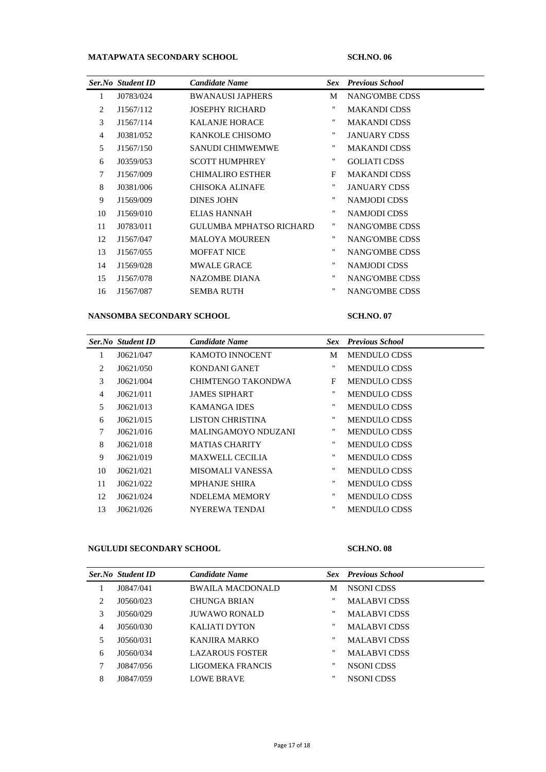# **MATAPWATA SECONDARY SCHOOL SCH.NO. 06**

|    | <b>Ser.No</b> Student ID | <b>Candidate Name</b>   | Sex.              | <b>Previous School</b> |
|----|--------------------------|-------------------------|-------------------|------------------------|
| 1  | J0783/024                | <b>BWANAUSLIAPHERS</b>  | M                 | NANG'OMBE CDSS         |
| 2  | J1567/112                | <b>JOSEPHY RICHARD</b>  | 11                | <b>MAKANDI CDSS</b>    |
| 3  | J1567/114                | <b>KALANJE HORACE</b>   | $^{\prime\prime}$ | <b>MAKANDI CDSS</b>    |
| 4  | J0381/052                | KANKOLE CHISOMO         | 11                | <b>JANUARY CDSS</b>    |
| 5  | J1567/150                | <b>SANUDI CHIMWEMWE</b> | 11                | <b>MAKANDI CDSS</b>    |
| 6  | J0359/053                | <b>SCOTT HUMPHREY</b>   | $\mathbf{H}$      | <b>GOLIATI CDSS</b>    |
| 7  | J1567/009                | <b>CHIMALIRO ESTHER</b> | F                 | <b>MAKANDI CDSS</b>    |
| 8  | J0381/006                | <b>CHISOKA ALINAFE</b>  | 11                | <b>JANUARY CDSS</b>    |
| 9  | J1569/009                | <b>DINES JOHN</b>       | 11                | NAMJODI CDSS           |
| 10 | J1569/010                | ELIAS HANNAH            | $\mathbf{H}$      | NAMJODI CDSS           |
| 11 | J0783/011                | GULUMBA MPHATSO RICHARD | 11                | NANG'OMBE CDSS         |
| 12 | J1567/047                | <b>MALOYA MOUREEN</b>   | $\mathbf{H}$      | NANG'OMBE CDSS         |
| 13 | J1567/055                | <b>MOFFAT NICE</b>      | 11                | NANG'OMBE CDSS         |
| 14 | J1569/028                | <b>MWALE GRACE</b>      | $\mathbf{H}$      | <b>NAMJODI CDSS</b>    |
| 15 | J1567/078                | NAZOMBE DIANA           | $\blacksquare$    | NANG'OMBE CDSS         |
| 16 | J1567/087                | <b>SEMBA RUTH</b>       | $\mathbf{H}$      | <b>NANG'OMBE CDSS</b>  |
|    |                          |                         |                   |                        |

### **NANSOMBA SECONDARY SCHOOL SCH.NO. 07**

|                | <b>Ser.No</b> Student ID | <b>Candidate Name</b>   | <b>Sex</b>         | <b>Previous School</b> |
|----------------|--------------------------|-------------------------|--------------------|------------------------|
| 1              | J0621/047                | KAMOTO INNOCENT         | М                  | <b>MENDULO CDSS</b>    |
| 2              | J0621/050                | KONDANI GANET           | $^{\prime\prime}$  | <b>MENDULO CDSS</b>    |
| 3              | J0621/004                | CHIMTENGO TAKONDWA      | F                  | <b>MENDULO CDSS</b>    |
| $\overline{4}$ | J0621/011                | <b>JAMES SIPHART</b>    | 11                 | <b>MENDULO CDSS</b>    |
| 5              | J0621/013                | <b>KAMANGA IDES</b>     | 11                 | <b>MENDULO CDSS</b>    |
| 6              | J0621/015                | LISTON CHRISTINA        | 11                 | <b>MENDULO CDSS</b>    |
| 7              | J0621/016                | MALINGAMOYO NDUZANI     | 11                 | <b>MENDULO CDSS</b>    |
| 8              | J0621/018                | <b>MATIAS CHARITY</b>   | 11                 | <b>MENDULO CDSS</b>    |
| 9              | J0621/019                | <b>MAXWELL CECILIA</b>  | 11                 | <b>MENDULO CDSS</b>    |
| 10             | J0621/021                | <b>MISOMALI VANESSA</b> | $\mathbf{H}$       | <b>MENDULO CDSS</b>    |
| 11             | J0621/022                | <b>MPHANJE SHIRA</b>    | 11                 | <b>MENDULO CDSS</b>    |
| 12             | J0621/024                | NDELEMA MEMORY          | $\pmb{\mathsf{H}}$ | <b>MENDULO CDSS</b>    |
| 13             | J0621/026                | <b>NYEREWA TENDAI</b>   | $^{\prime\prime}$  | <b>MENDULO CDSS</b>    |
|                |                          |                         |                    |                        |

## **NGULUDI SECONDARY SCHOOL SCH.NO. 08**

|   | Ser.No Student ID | <b>Candidate Name</b>   |   | <b>Sex</b> Previous School |
|---|-------------------|-------------------------|---|----------------------------|
|   |                   |                         |   |                            |
|   | J0847/041         | <b>BWAILA MACDONALD</b> | М | NSONI CDSS                 |
| 2 | J0560/023         | <b>CHUNGA BRIAN</b>     | " | <b>MALABVICDSS</b>         |
| 3 | J0560/029         | <b>JUWAWO RONALD</b>    |   | <b>MALABVICDSS</b>         |
| 4 | J0560/030         | <b>KALIATI DYTON</b>    | " | <b>MALABVICDSS</b>         |
| 5 | J0560/031         | KANJIRA MARKO           |   | <b>MALABVICDSS</b>         |
| 6 | J0560/034         | <b>LAZAROUS FOSTER</b>  |   | <b>MALABVICDSS</b>         |
| 7 | J0847/056         | LIGOMEKA FRANCIS        |   | NSONI CDSS                 |
| 8 | J0847/059         | <b>LOWE BRAVE</b>       |   | <b>NSONI CDSS</b>          |